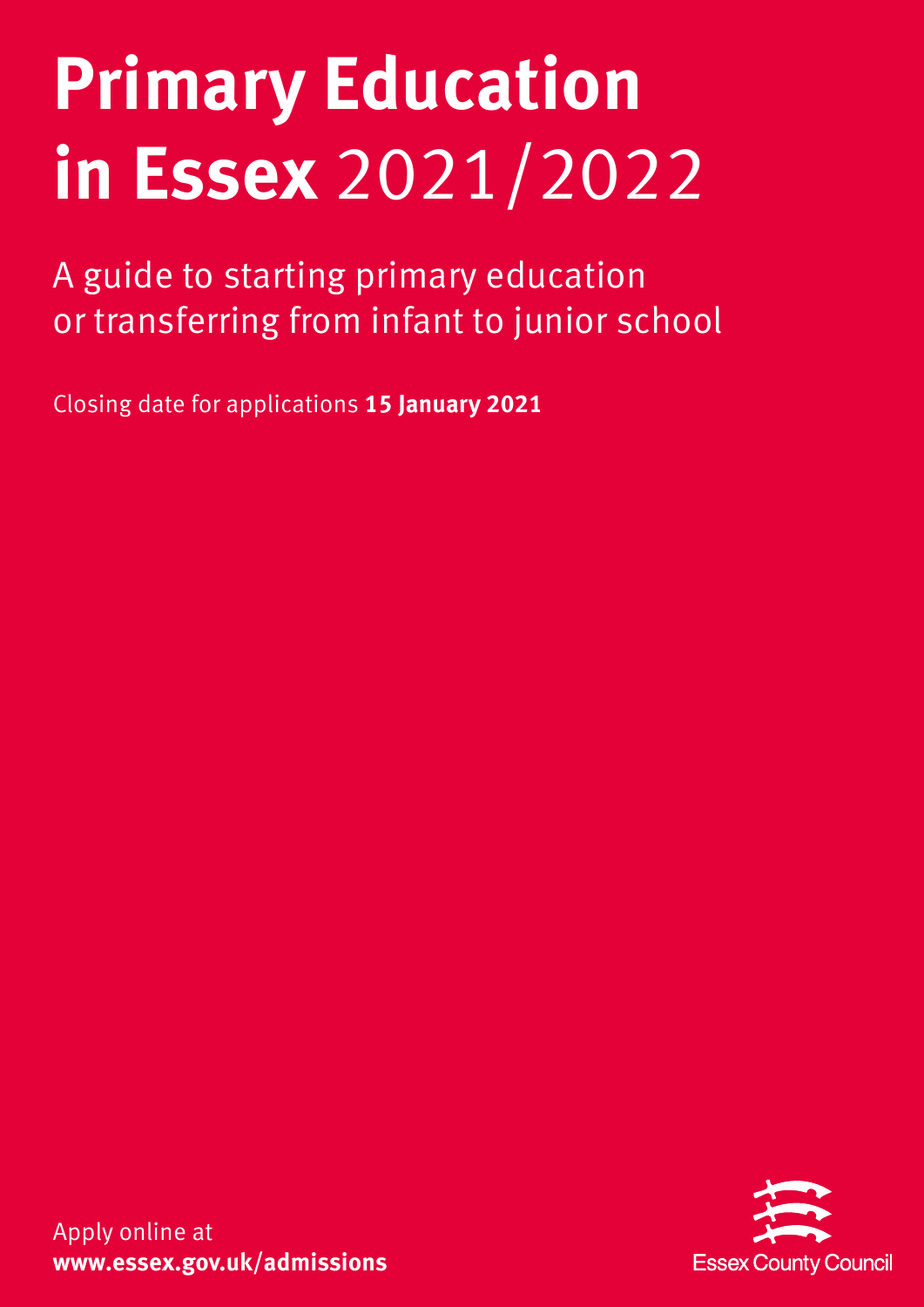# **Primary Education in Essex** 2021/2022

A guide to starting primary education or transferring from infant to junior school

Closing date for applications **15 January 2021**



Apply online at **www.essex.gov.uk/admissions**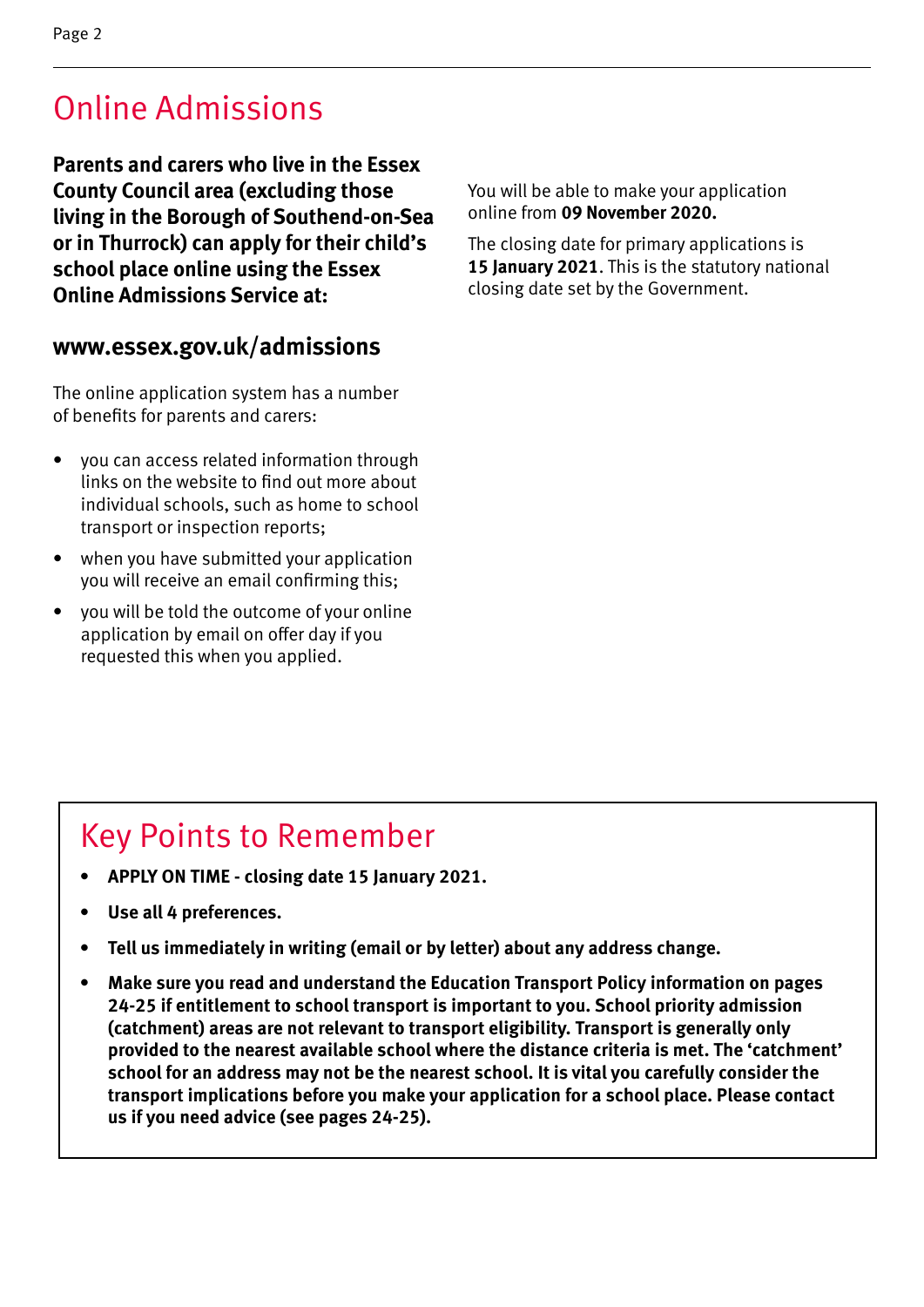### Online Admissions

**Parents and carers who live in the Essex County Council area (excluding those living in the Borough of Southend-on-Sea or in Thurrock) can apply for their child's school place online using the Essex Online Admissions Service at:**

#### **www.essex.gov.uk/admissions**

The online application system has a number of benefits for parents and carers:

- you can access related information through links on the website to find out more about individual schools, such as home to school transport or inspection reports;
- when you have submitted your application you will receive an email confirming this;
- you will be told the outcome of your online application by email on offer day if you requested this when you applied.

You will be able to make your application online from **09 November 2020.**

The closing date for primary applications is **15 January 2021**. This is the statutory national closing date set by the Government.

### Key Points to Remember

- **• APPLY ON TIME closing date 15 January 2021.**
- **• Use all 4 preferences.**
- **• Tell us immediately in writing (email or by letter) about any address change.**
- **• Make sure you read and understand the Education Transport Policy information on pages 24-25 if entitlement to school transport is important to you. School priority admission (catchment) areas are not relevant to transport eligibility. Transport is generally only provided to the nearest available school where the distance criteria is met. The 'catchment' school for an address may not be the nearest school. It is vital you carefully consider the transport implications before you make your application for a school place. Please contact us if you need advice (see pages 24-25).**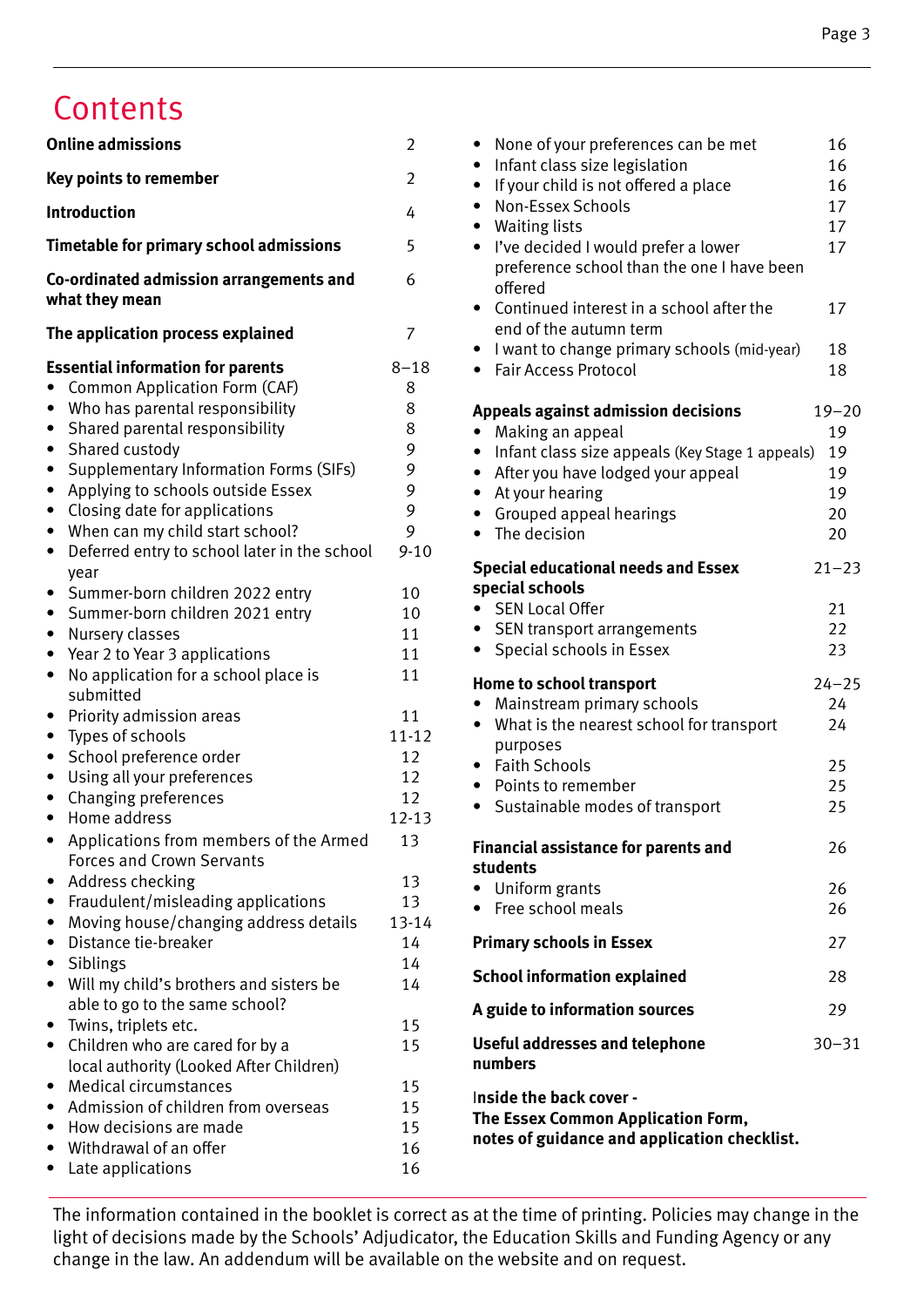### **Contents**

| <b>Online admissions</b>                                                                                                                                                                                                                                                                                                                                                                                                                                                                                                                                   | $\overline{2}$                                                           |
|------------------------------------------------------------------------------------------------------------------------------------------------------------------------------------------------------------------------------------------------------------------------------------------------------------------------------------------------------------------------------------------------------------------------------------------------------------------------------------------------------------------------------------------------------------|--------------------------------------------------------------------------|
| <b>Key points to remember</b>                                                                                                                                                                                                                                                                                                                                                                                                                                                                                                                              | $\overline{2}$                                                           |
| Introduction                                                                                                                                                                                                                                                                                                                                                                                                                                                                                                                                               | 4                                                                        |
| <b>Timetable for primary school admissions</b>                                                                                                                                                                                                                                                                                                                                                                                                                                                                                                             | 5                                                                        |
| Co-ordinated admission arrangements and<br>what they mean                                                                                                                                                                                                                                                                                                                                                                                                                                                                                                  | 6                                                                        |
| The application process explained                                                                                                                                                                                                                                                                                                                                                                                                                                                                                                                          | 7                                                                        |
| <b>Essential information for parents</b><br>Common Application Form (CAF)<br>$\bullet$<br>Who has parental responsibility<br>Shared parental responsibility<br>٠<br>Shared custody<br>٠<br><b>Supplementary Information Forms (SIFs)</b><br>$\bullet$<br>Applying to schools outside Essex<br>$\bullet$<br>Closing date for applications<br>٠<br>When can my child start school?<br>$\bullet$<br>Deferred entry to school later in the school<br>$\bullet$<br>year<br>Summer-born children 2022 entry<br>٠<br>Summer-born children 2021 entry<br>$\bullet$ | $8 - 18$<br>8<br>8<br>8<br>9<br>9<br>9<br>9<br>9<br>$9 - 10$<br>10<br>10 |
| Nursery classes<br>$\bullet$<br>Year 2 to Year 3 applications<br>٠<br>No application for a school place is<br>$\bullet$<br>submitted<br>Priority admission areas<br>٠<br>Types of schools<br>$\bullet$                                                                                                                                                                                                                                                                                                                                                     | 11<br>11<br>11<br>11<br>$11 - 12$                                        |
| School preference order<br>$\bullet$<br>Using all your preferences<br>$\bullet$<br>Changing preferences<br>$\bullet$<br>Home address<br>Applications from members of the Armed                                                                                                                                                                                                                                                                                                                                                                             | 12<br>12<br>12<br>12-13<br>13                                            |
| <b>Forces and Crown Servants</b><br>Address checking<br>$\bullet$<br>Fraudulent/misleading applications<br>Moving house/changing address details<br>Distance tie-breaker<br>Siblings<br>٠<br>Will my child's brothers and sisters be<br>$\bullet$                                                                                                                                                                                                                                                                                                          | 13<br>13<br>13-14<br>14<br>14<br>14                                      |
| able to go to the same school?<br>Twins, triplets etc.<br>Children who are cared for by a<br>local authority (Looked After Children)<br><b>Medical circumstances</b><br>٠<br>Admission of children from overseas<br>How decisions are made<br>Withdrawal of an offer                                                                                                                                                                                                                                                                                       | 15<br>15<br>15<br>15<br>15<br>16                                         |
| Late applications<br>٠                                                                                                                                                                                                                                                                                                                                                                                                                                                                                                                                     | 16                                                                       |

| None of your preferences can be met<br>$\bullet$                                        | 16        |
|-----------------------------------------------------------------------------------------|-----------|
| Infant class size legislation<br>$\bullet$                                              | 16        |
| If your child is not offered a place<br>$\bullet$                                       | 16        |
| Non-Essex Schools<br>$\bullet$                                                          | 17        |
| <b>Waiting lists</b><br>$\bullet$<br>I've decided I would prefer a lower<br>$\bullet$   | 17<br>17  |
| preference school than the one I have been<br>offered                                   |           |
| Continued interest in a school after the<br>$\bullet$<br>end of the autumn term         | 17        |
| I want to change primary schools (mid-year)<br>$\bullet$<br><b>Fair Access Protocol</b> | 18<br>18  |
| <b>Appeals against admission decisions</b>                                              | $19 - 20$ |
| Making an appeal                                                                        | 19        |
| Infant class size appeals (Key Stage 1 appeals)                                         | 19        |
| After you have lodged your appeal<br>$\bullet$                                          | 19        |
| At your hearing<br>$\bullet$                                                            | 19<br>20  |
| • Grouped appeal hearings<br>The decision<br>$\bullet$                                  | 20        |
|                                                                                         |           |
| <b>Special educational needs and Essex</b><br>special schools                           | $21 - 23$ |
| <b>SEN Local Offer</b><br>$\bullet$                                                     | 21        |
| • SEN transport arrangements                                                            | 22        |
| Special schools in Essex<br>$\bullet$                                                   | 23        |
| <b>Home to school transport</b>                                                         | $24 - 25$ |
| Mainstream primary schools                                                              | 24        |
| What is the nearest school for transport<br>$\bullet$                                   | 24        |
| purposes<br><b>Faith Schools</b><br>$\bullet$                                           | 25        |
| Points to remember                                                                      | 25        |
| Sustainable modes of transport<br>$\bullet$                                             | 25        |
| <b>Financial assistance for parents and</b>                                             | 26        |
| students                                                                                |           |
| • Uniform grants                                                                        | 26        |
| • Free school meals                                                                     | 26        |
| <b>Primary schools in Essex</b>                                                         | 27        |
| <b>School information explained</b>                                                     | 28        |
| A guide to information sources                                                          | 29        |
| Useful addresses and telephone<br>numbers                                               | $30 - 31$ |
| Inside the back cover -                                                                 |           |
| The Essex Common Application Form,<br>notes of guidance and application checklist.      |           |
|                                                                                         |           |

The information contained in the booklet is correct as at the time of printing. Policies may change in the light of decisions made by the Schools' Adjudicator, the Education Skills and Funding Agency or any change in the law. An addendum will be available on the website and on request.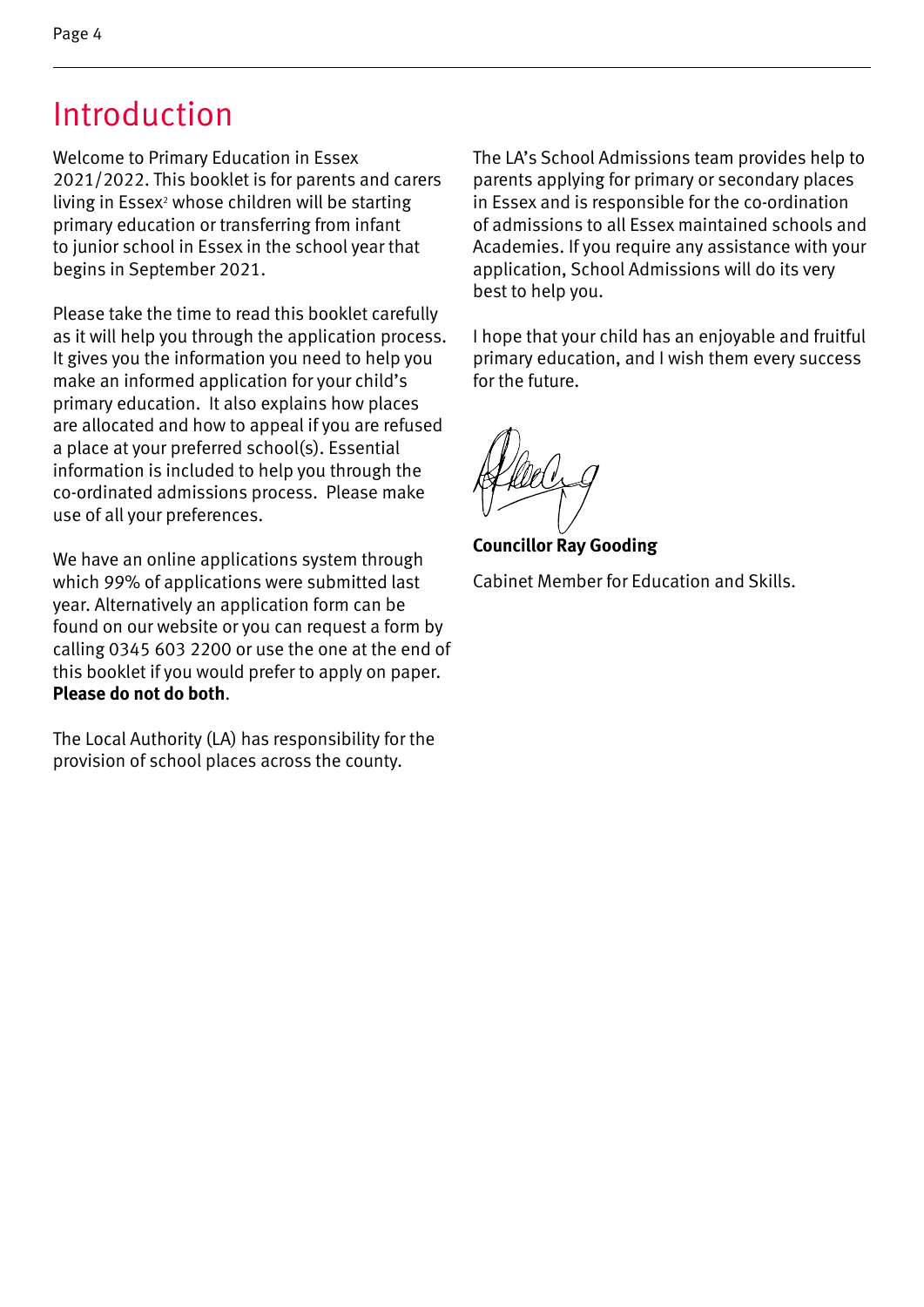### Introduction

Welcome to Primary Education in Essex 2021/2022. This booklet is for parents and carers living in Essex<sup>2</sup> whose children will be starting primary education or transferring from infant to junior school in Essex in the school year that begins in September 2021.

Please take the time to read this booklet carefully as it will help you through the application process. It gives you the information you need to help you make an informed application for your child's primary education. It also explains how places are allocated and how to appeal if you are refused a place at your preferred school(s). Essential information is included to help you through the co-ordinated admissions process. Please make use of all your preferences.

We have an online applications system through which 99% of applications were submitted last year. Alternatively an application form can be found on our website or you can request a form by calling 0345 603 2200 or use the one at the end of this booklet if you would prefer to apply on paper. **Please do not do both**.

The Local Authority (LA) has responsibility for the provision of school places across the county.

The LA's School Admissions team provides help to parents applying for primary or secondary places in Essex and is responsible for the co-ordination of admissions to all Essex maintained schools and Academies. If you require any assistance with your application, School Admissions will do its very best to help you.

I hope that your child has an enjoyable and fruitful primary education, and I wish them every success for the future.

**Councillor Ray Gooding** 

Cabinet Member for Education and Skills.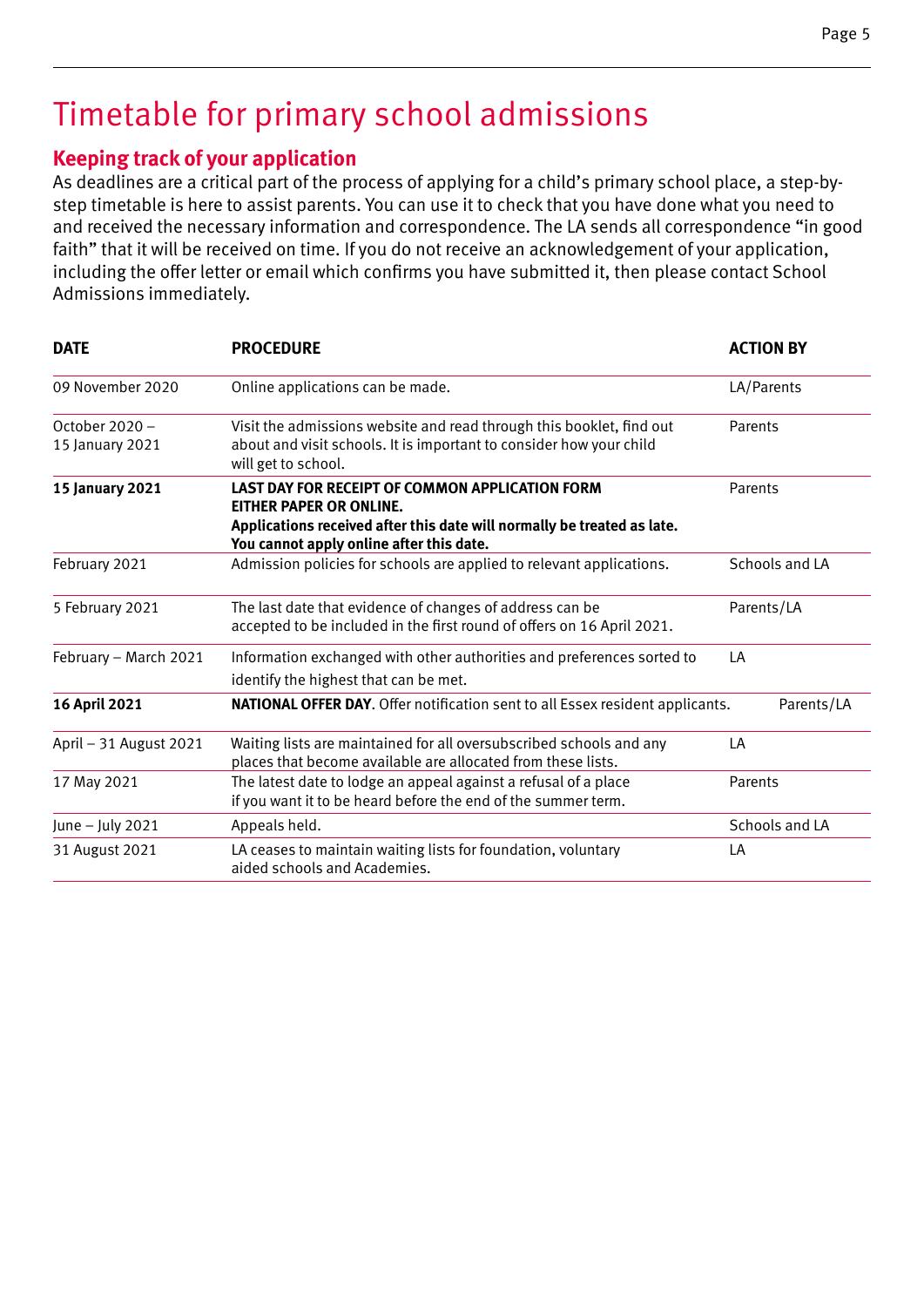### Timetable for primary school admissions

#### **Keeping track of your application**

As deadlines are a critical part of the process of applying for a child's primary school place, a step-bystep timetable is here to assist parents. You can use it to check that you have done what you need to and received the necessary information and correspondence. The LA sends all correspondence "in good faith" that it will be received on time. If you do not receive an acknowledgement of your application, including the offer letter or email which confirms you have submitted it, then please contact School Admissions immediately.

| <b>DATE</b>                       | <b>PROCEDURE</b>                                                                                                                                                                                  | <b>ACTION BY</b> |
|-----------------------------------|---------------------------------------------------------------------------------------------------------------------------------------------------------------------------------------------------|------------------|
| 09 November 2020                  | Online applications can be made.                                                                                                                                                                  | LA/Parents       |
| October 2020 -<br>15 January 2021 | Visit the admissions website and read through this booklet, find out<br>about and visit schools. It is important to consider how your child<br>will get to school.                                | Parents          |
| <b>15 January 2021</b>            | LAST DAY FOR RECEIPT OF COMMON APPLICATION FORM<br>EITHER PAPER OR ONLINE.<br>Applications received after this date will normally be treated as late.<br>You cannot apply online after this date. | Parents          |
| February 2021                     | Admission policies for schools are applied to relevant applications.                                                                                                                              | Schools and LA   |
| 5 February 2021                   | The last date that evidence of changes of address can be<br>accepted to be included in the first round of offers on 16 April 2021.                                                                | Parents/LA       |
| February - March 2021             | Information exchanged with other authorities and preferences sorted to<br>identify the highest that can be met.                                                                                   | LA               |
| <b>16 April 2021</b>              | <b>NATIONAL OFFER DAY.</b> Offer notification sent to all Essex resident applicants.                                                                                                              | Parents/LA       |
| April - 31 August 2021            | Waiting lists are maintained for all oversubscribed schools and any<br>places that become available are allocated from these lists.                                                               | LA               |
| 17 May 2021                       | The latest date to lodge an appeal against a refusal of a place<br>if you want it to be heard before the end of the summer term.                                                                  | Parents          |
| June - July 2021                  | Appeals held.                                                                                                                                                                                     | Schools and LA   |
| 31 August 2021                    | LA ceases to maintain waiting lists for foundation, voluntary<br>aided schools and Academies.                                                                                                     | LA               |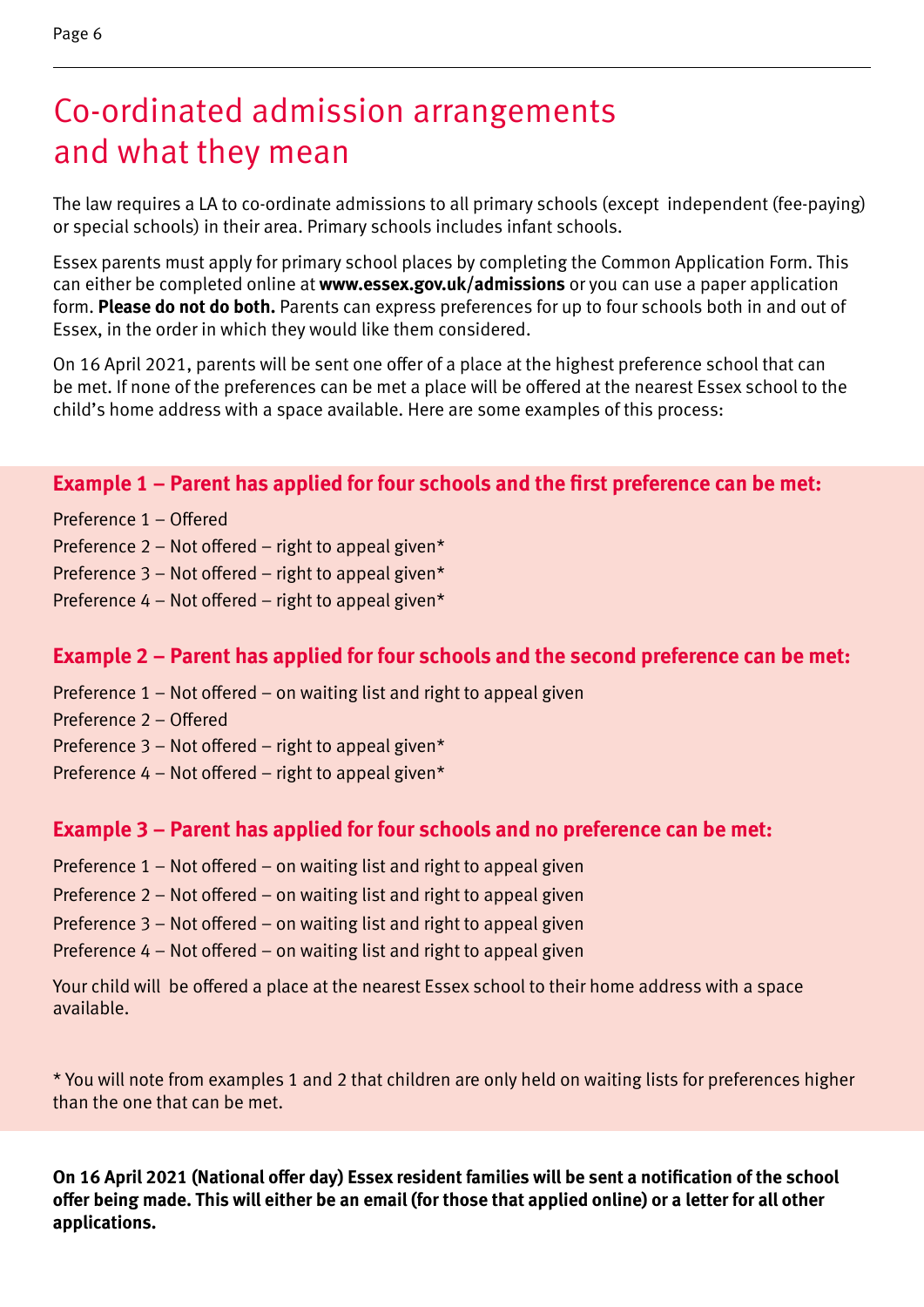The law requires a LA to co-ordinate admissions to all primary schools (except independent (fee-paying) or special schools) in their area. Primary schools includes infant schools.

Essex parents must apply for primary school places by completing the Common Application Form. This can either be completed online at **www.essex.gov.uk/admissions** or you can use a paper application form. **Please do not do both.** Parents can express preferences for up to four schools both in and out of Essex, in the order in which they would like them considered.

On 16 April 2021, parents will be sent one offer of a place at the highest preference school that can be met. If none of the preferences can be met a place will be offered at the nearest Essex school to the child's home address with a space available. Here are some examples of this process:

#### **Example 1 – Parent has applied for four schools and the first preference can be met:**

- Preference 1 Offered
- Preference 2 Not offered right to appeal given\*
- Preference 3 Not offered right to appeal given\*
- Preference 4 Not offered right to appeal given\*

#### **Example 2 – Parent has applied for four schools and the second preference can be met:**

- Preference 1 Not offered on waiting list and right to appeal given
- Preference 2 Offered
- Preference 3 Not offered right to appeal given\*
- Preference  $4 Not$  offered right to appeal given\*

#### **Example 3 – Parent has applied for four schools and no preference can be met:**

- Preference 1 Not offered on waiting list and right to appeal given
- Preference 2 Not offered on waiting list and right to appeal given
- Preference 3 Not offered on waiting list and right to appeal given
- Preference 4 Not offered on waiting list and right to appeal given

Your child will be offered a place at the nearest Essex school to their home address with a space available.

\* You will note from examples 1 and 2 that children are only held on waiting lists for preferences higher than the one that can be met.

**On 16 April 2021 (National offer day) Essex resident families will be sent a notification of the school offer being made. This will either be an email (for those that applied online) or a letter for all other applications.**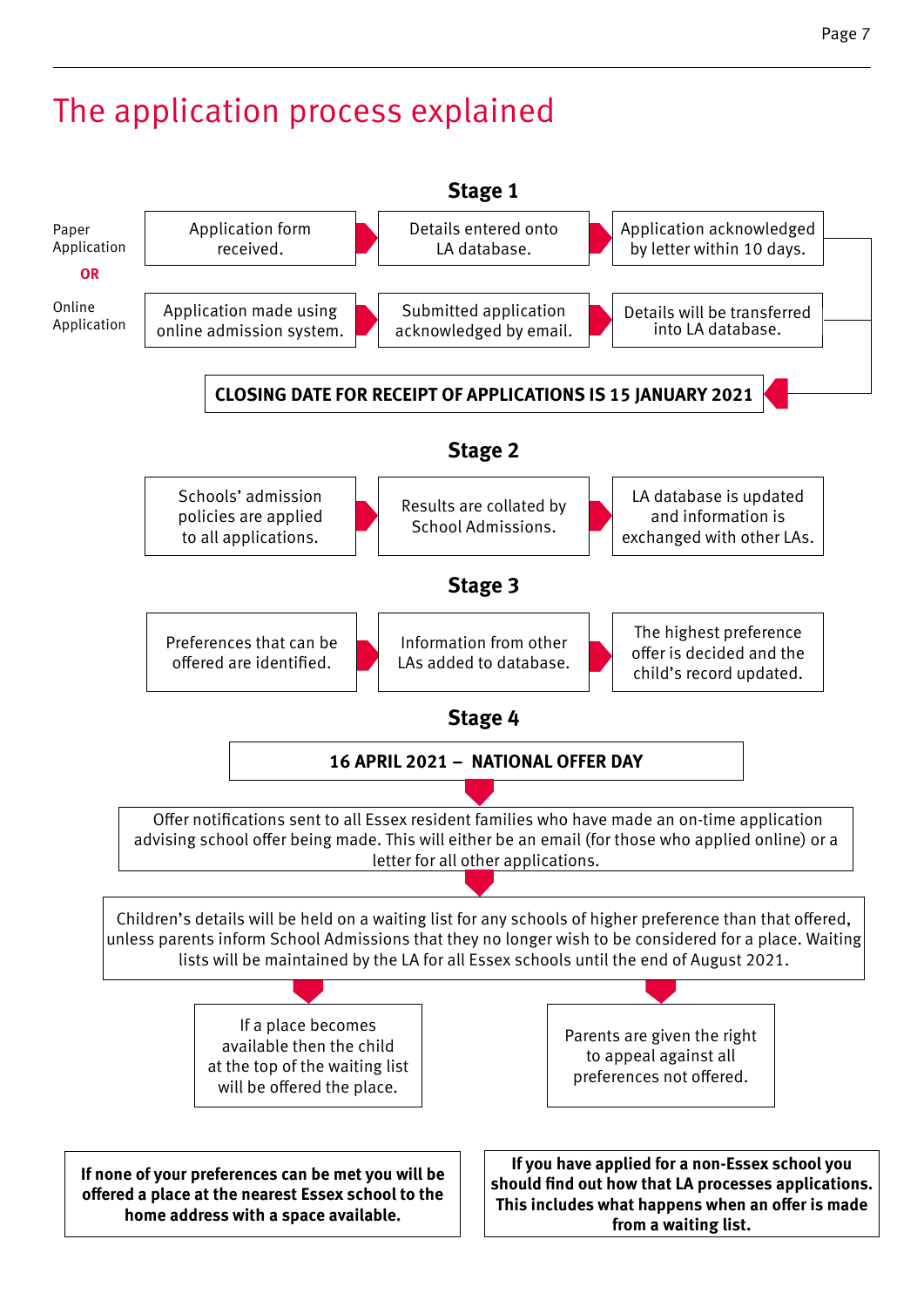### The application process explained

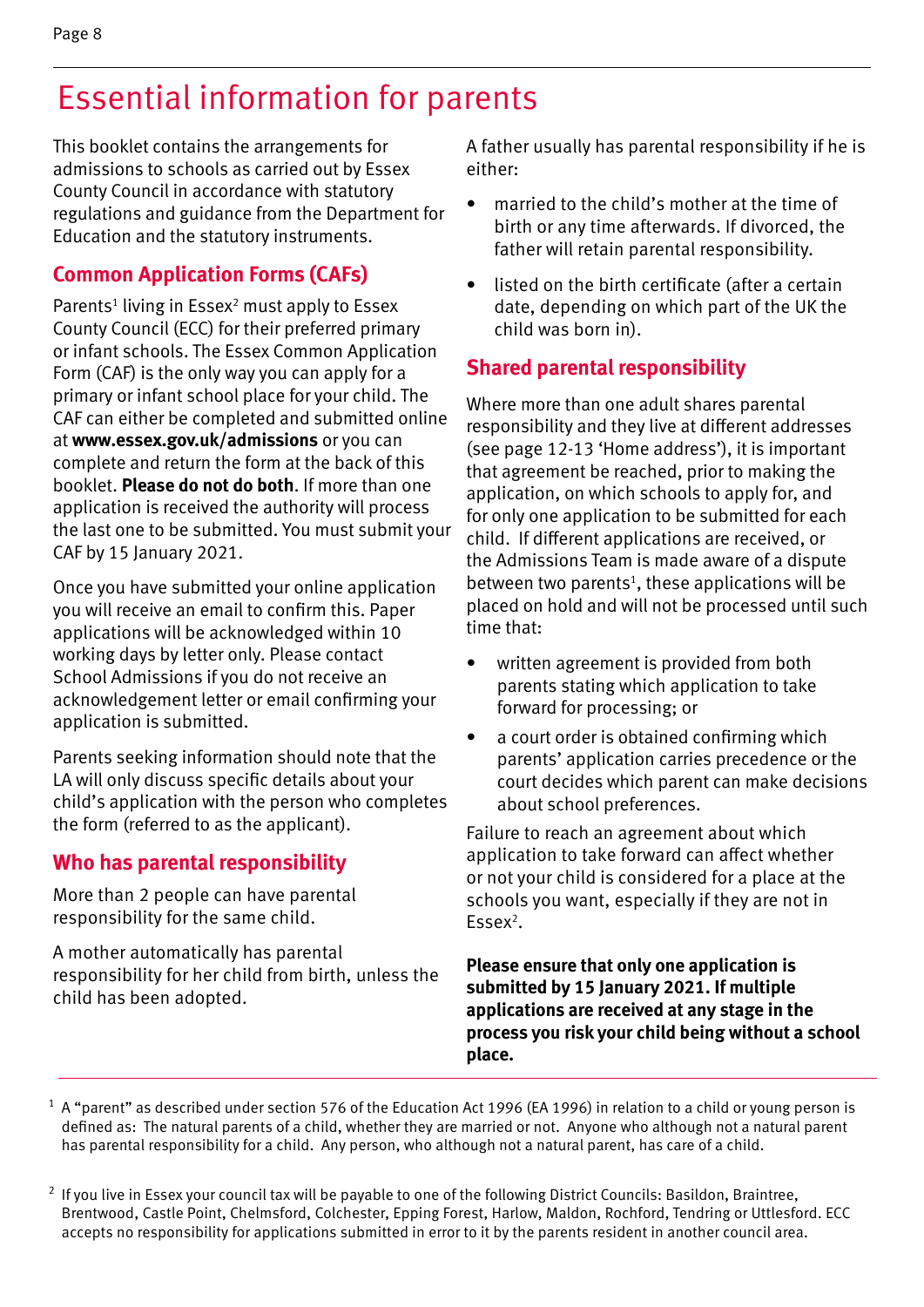This booklet contains the arrangements for admissions to schools as carried out by Essex County Council in accordance with statutory regulations and guidance from the Department for Education and the statutory instruments.

#### **Common Application Forms (CAFs)**

Parents<sup>1</sup> living in Essex<sup>2</sup> must apply to Essex County Council (ECC) for their preferred primary or infant schools. The Essex Common Application Form (CAF) is the only way you can apply for a primary or infant school place for your child. The CAF can either be completed and submitted online at **www.essex.gov.uk/admissions** or you can complete and return the form at the back of this booklet. **Please do not do both**. If more than one application is received the authority will process the last one to be submitted. You must submit your CAF by 15 January 2021.

Once you have submitted your online application you will receive an email to confirm this. Paper applications will be acknowledged within 10 working days by letter only. Please contact School Admissions if you do not receive an acknowledgement letter or email confirming your application is submitted.

Parents seeking information should note that the LA will only discuss specific details about your child's application with the person who completes the form (referred to as the applicant).

#### **Who has parental responsibility**

More than 2 people can have parental responsibility for the same child.

A mother automatically has parental responsibility for her child from birth, unless the child has been adopted.

A father usually has parental responsibility if he is either:

- married to the child's mother at the time of birth or any time afterwards. If divorced, the father will retain parental responsibility.
- listed on the birth certificate (after a certain date, depending on which part of the UK the child was born in).

#### **Shared parental responsibility**

Where more than one adult shares parental responsibility and they live at different addresses (see page 12-13 'Home address'), it is important that agreement be reached, prior to making the application, on which schools to apply for, and for only one application to be submitted for each child. If different applications are received, or the Admissions Team is made aware of a dispute between two parents<sup>1</sup>, these applications will be placed on hold and will not be processed until such time that:

- written agreement is provided from both parents stating which application to take forward for processing; or
- a court order is obtained confirming which parents' application carries precedence or the court decides which parent can make decisions about school preferences.

Failure to reach an agreement about which application to take forward can affect whether or not your child is considered for a place at the schools you want, especially if they are not in Essex $2$ .

**Please ensure that only one application is submitted by 15 January 2021. If multiple applications are received at any stage in the process you risk your child being without a school place.**

 $1$  A "parent" as described under section 576 of the Education Act 1996 (EA 1996) in relation to a child or young person is defined as: The natural parents of a child, whether they are married or not. Anyone who although not a natural parent has parental responsibility for a child. Any person, who although not a natural parent, has care of a child.

 $2$  If you live in Essex your council tax will be payable to one of the following District Councils: Basildon, Braintree, Brentwood, Castle Point, Chelmsford, Colchester, Epping Forest, Harlow, Maldon, Rochford, Tendring or Uttlesford. ECC accepts no responsibility for applications submitted in error to it by the parents resident in another council area.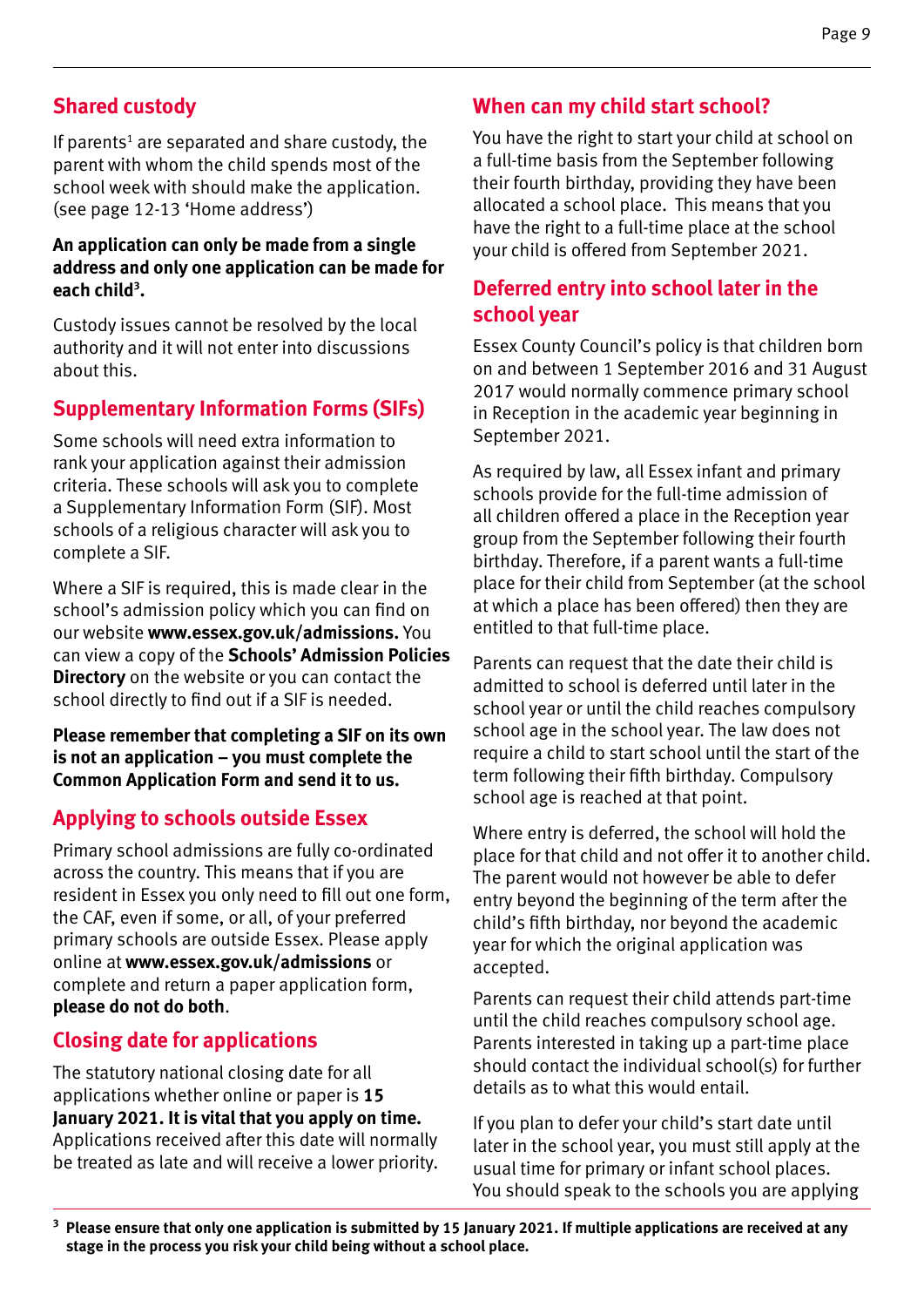#### **Shared custody**

If parents<sup>1</sup> are separated and share custody, the parent with whom the child spends most of the school week with should make the application. (see page 12-13 'Home address')

#### **An application can only be made from a single address and only one application can be made for each child3 .**

Custody issues cannot be resolved by the local authority and it will not enter into discussions about this.

#### **Supplementary Information Forms (SIFs)**

Some schools will need extra information to rank your application against their admission criteria. These schools will ask you to complete a Supplementary Information Form (SIF). Most schools of a religious character will ask you to complete a SIF.

Where a SIF is required, this is made clear in the school's admission policy which you can find on our website **www.essex.gov.uk/admissions.** You can view a copy of the **Schools' Admission Policies Directory** on the website or you can contact the school directly to find out if a SIF is needed.

**Please remember that completing a SIF on its own is not an application – you must complete the Common Application Form and send it to us.** 

#### **Applying to schools outside Essex**

Primary school admissions are fully co-ordinated across the country. This means that if you are resident in Essex you only need to fill out one form, the CAF, even if some, or all, of your preferred primary schools are outside Essex. Please apply online at **www.essex.gov.uk/admissions** or complete and return a paper application form, **please do not do both**.

#### **Closing date for applications**

The statutory national closing date for all applications whether online or paper is **15 January 2021. It is vital that you apply on time.** Applications received after this date will normally be treated as late and will receive a lower priority.

#### **When can my child start school?**

You have the right to start your child at school on a full-time basis from the September following their fourth birthday, providing they have been allocated a school place. This means that you have the right to a full-time place at the school your child is offered from September 2021.

#### **Deferred entry into school later in the school year**

Essex County Council's policy is that children born on and between 1 September 2016 and 31 August 2017 would normally commence primary school in Reception in the academic year beginning in September 2021.

As required by law, all Essex infant and primary schools provide for the full-time admission of all children offered a place in the Reception year group from the September following their fourth birthday. Therefore, if a parent wants a full-time place for their child from September (at the school at which a place has been offered) then they are entitled to that full-time place.

Parents can request that the date their child is admitted to school is deferred until later in the school year or until the child reaches compulsory school age in the school year. The law does not require a child to start school until the start of the term following their fifth birthday. Compulsory school age is reached at that point.

Where entry is deferred, the school will hold the place for that child and not offer it to another child. The parent would not however be able to defer entry beyond the beginning of the term after the child's fifth birthday, nor beyond the academic year for which the original application was accepted.

Parents can request their child attends part-time until the child reaches compulsory school age. Parents interested in taking up a part-time place should contact the individual school(s) for further details as to what this would entail.

If you plan to defer your child's start date until later in the school year, you must still apply at the usual time for primary or infant school places. You should speak to the schools you are applying

**<sup>3</sup> Please ensure that only one application is submitted by 15 January 2021. If multiple applications are received at any stage in the process you risk your child being without a school place.**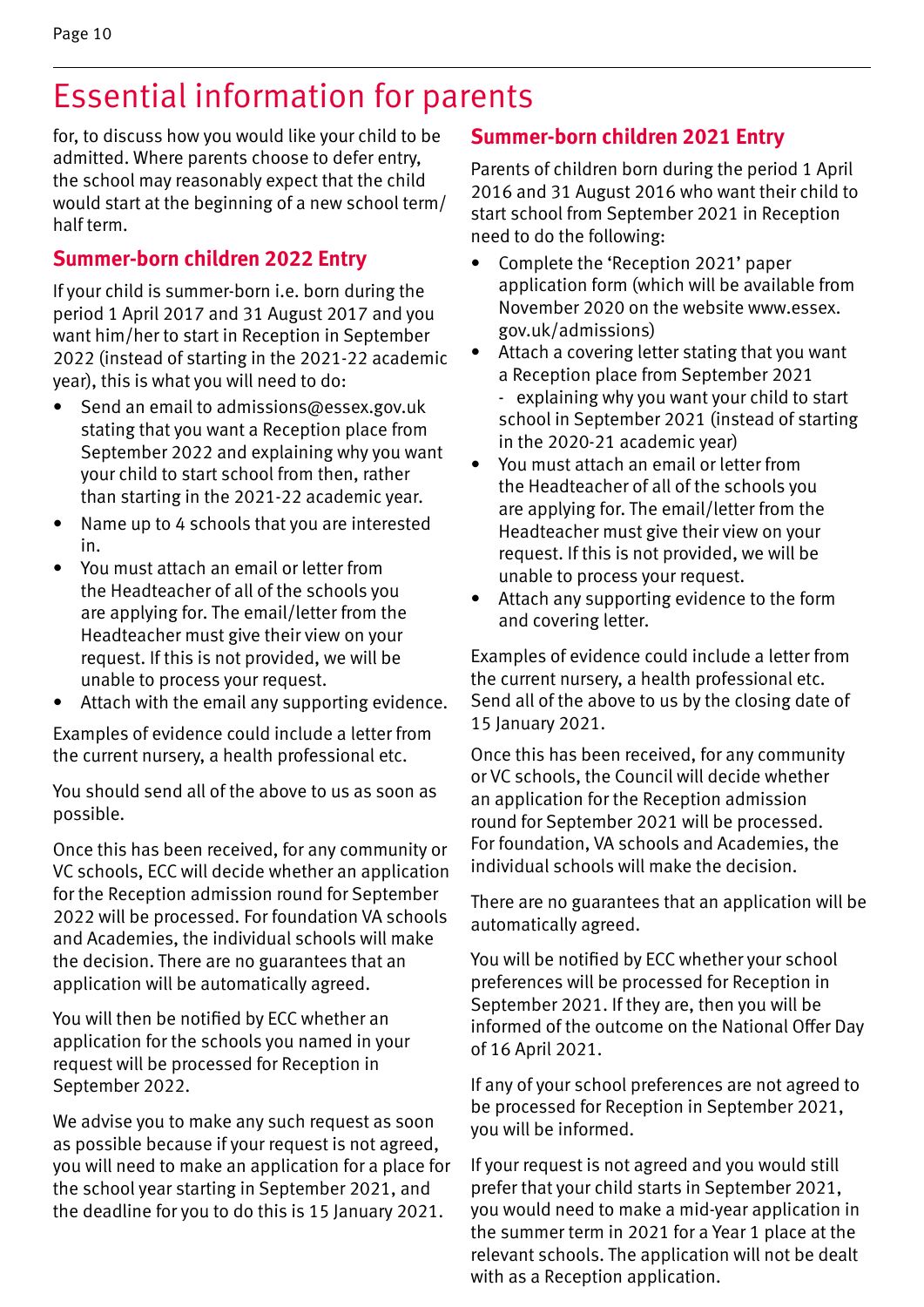for, to discuss how you would like your child to be admitted. Where parents choose to defer entry, the school may reasonably expect that the child would start at the beginning of a new school term/ half term.

#### **Summer-born children 2022 Entry**

If your child is summer-born i.e. born during the period 1 April 2017 and 31 August 2017 and you want him/her to start in Reception in September 2022 (instead of starting in the 2021-22 academic year), this is what you will need to do:

- Send an email to admissions@essex.gov.uk stating that you want a Reception place from September 2022 and explaining why you want your child to start school from then, rather than starting in the 2021-22 academic year.
- Name up to 4 schools that you are interested in.
- You must attach an email or letter from the Headteacher of all of the schools you are applying for. The email/letter from the Headteacher must give their view on your request. If this is not provided, we will be unable to process your request.
- Attach with the email any supporting evidence.

Examples of evidence could include a letter from the current nursery, a health professional etc.

You should send all of the above to us as soon as possible.

Once this has been received, for any community or VC schools, ECC will decide whether an application for the Reception admission round for September 2022 will be processed. For foundation VA schools and Academies, the individual schools will make the decision. There are no guarantees that an application will be automatically agreed.

You will then be notified by ECC whether an application for the schools you named in your request will be processed for Reception in September 2022.

We advise you to make any such request as soon as possible because if your request is not agreed, you will need to make an application for a place for the school year starting in September 2021, and the deadline for you to do this is 15 January 2021.

#### **Summer-born children 2021 Entry**

Parents of children born during the period 1 April 2016 and 31 August 2016 who want their child to start school from September 2021 in Reception need to do the following:

- Complete the 'Reception 2021' paper application form (which will be available from November 2020 on the website www.essex. gov.uk/admissions)
- Attach a covering letter stating that you want a Reception place from September 2021
	- explaining why you want your child to start school in September 2021 (instead of starting in the 2020-21 academic year)
- You must attach an email or letter from the Headteacher of all of the schools you are applying for. The email/letter from the Headteacher must give their view on your request. If this is not provided, we will be unable to process your request.
- Attach any supporting evidence to the form and covering letter.

Examples of evidence could include a letter from the current nursery, a health professional etc. Send all of the above to us by the closing date of 15 January 2021.

Once this has been received, for any community or VC schools, the Council will decide whether an application for the Reception admission round for September 2021 will be processed. For foundation, VA schools and Academies, the individual schools will make the decision.

There are no guarantees that an application will be automatically agreed.

You will be notified by ECC whether your school preferences will be processed for Reception in September 2021. If they are, then you will be informed of the outcome on the National Offer Day of 16 April 2021.

If any of your school preferences are not agreed to be processed for Reception in September 2021, you will be informed.

If your request is not agreed and you would still prefer that your child starts in September 2021, you would need to make a mid-year application in the summer term in 2021 for a Year 1 place at the relevant schools. The application will not be dealt with as a Reception application.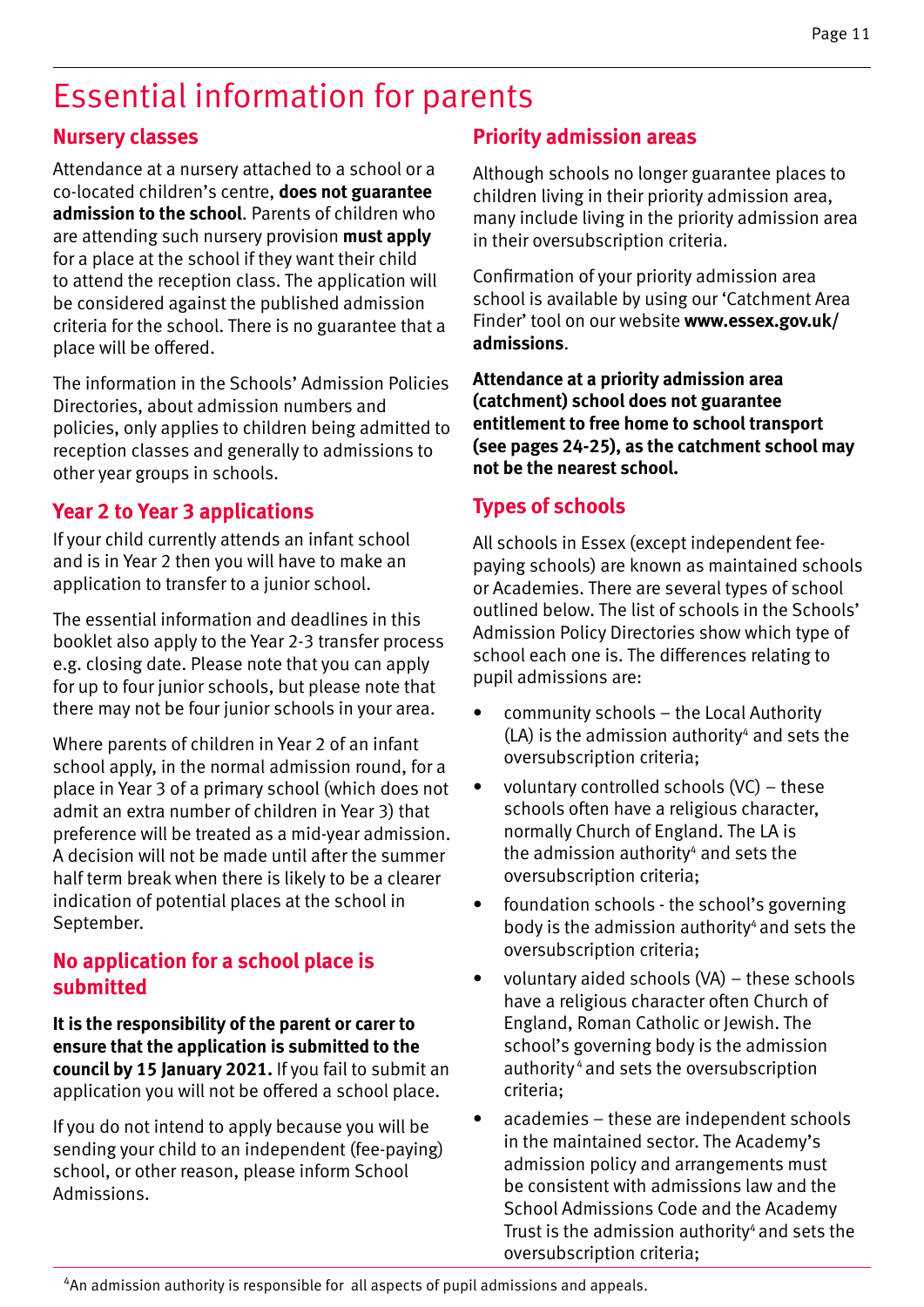#### **Nursery classes**

Attendance at a nursery attached to a school or a co-located children's centre, **does not guarantee admission to the school**. Parents of children who are attending such nursery provision **must apply** for a place at the school if they want their child to attend the reception class. The application will be considered against the published admission criteria for the school. There is no guarantee that a place will be offered.

The information in the Schools' Admission Policies Directories, about admission numbers and policies, only applies to children being admitted to reception classes and generally to admissions to other year groups in schools.

#### **Year 2 to Year 3 applications**

If your child currently attends an infant school and is in Year 2 then you will have to make an application to transfer to a junior school.

The essential information and deadlines in this booklet also apply to the Year 2-3 transfer process e.g. closing date. Please note that you can apply for up to four junior schools, but please note that there may not be four junior schools in your area.

Where parents of children in Year 2 of an infant school apply, in the normal admission round, for a place in Year 3 of a primary school (which does not admit an extra number of children in Year 3) that preference will be treated as a mid-year admission. A decision will not be made until after the summer half term break when there is likely to be a clearer indication of potential places at the school in September.

#### **No application for a school place is submitted**

**It is the responsibility of the parent or carer to ensure that the application is submitted to the council by 15 January 2021.** If you fail to submit an application you will not be offered a school place.

If you do not intend to apply because you will be sending your child to an independent (fee-paying) school, or other reason, please inform School Admissions.

#### **Priority admission areas**

Although schools no longer guarantee places to children living in their priority admission area, many include living in the priority admission area in their oversubscription criteria.

Confirmation of your priority admission area school is available by using our 'Catchment Area Finder' tool on our website **www.essex.gov.uk/ admissions**.

**Attendance at a priority admission area (catchment) school does not guarantee entitlement to free home to school transport (see pages 24-25), as the catchment school may not be the nearest school.**

#### **Types of schools**

All schools in Essex (except independent feepaying schools) are known as maintained schools or Academies. There are several types of school outlined below. The list of schools in the Schools' Admission Policy Directories show which type of school each one is. The differences relating to pupil admissions are:

- community schools the Local Authority  $(LA)$  is the admission authority<sup>4</sup> and sets the oversubscription criteria;
- voluntary controlled schools (VC) these schools often have a religious character, normally Church of England. The LA is the admission authority $4$  and sets the oversubscription criteria;
- foundation schools the school's governing body is the admission authority<sup>4</sup> and sets the oversubscription criteria;
- voluntary aided schools (VA) these schools have a religious character often Church of England, Roman Catholic or Jewish. The school's governing body is the admission authority 4 and sets the oversubscription criteria;
- academies these are independent schools in the maintained sector. The Academy's admission policy and arrangements must be consistent with admissions law and the School Admissions Code and the Academy Trust is the admission authority<sup>4</sup> and sets the oversubscription criteria;

<sup>4</sup>An admission authority is responsible for all aspects of pupil admissions and appeals.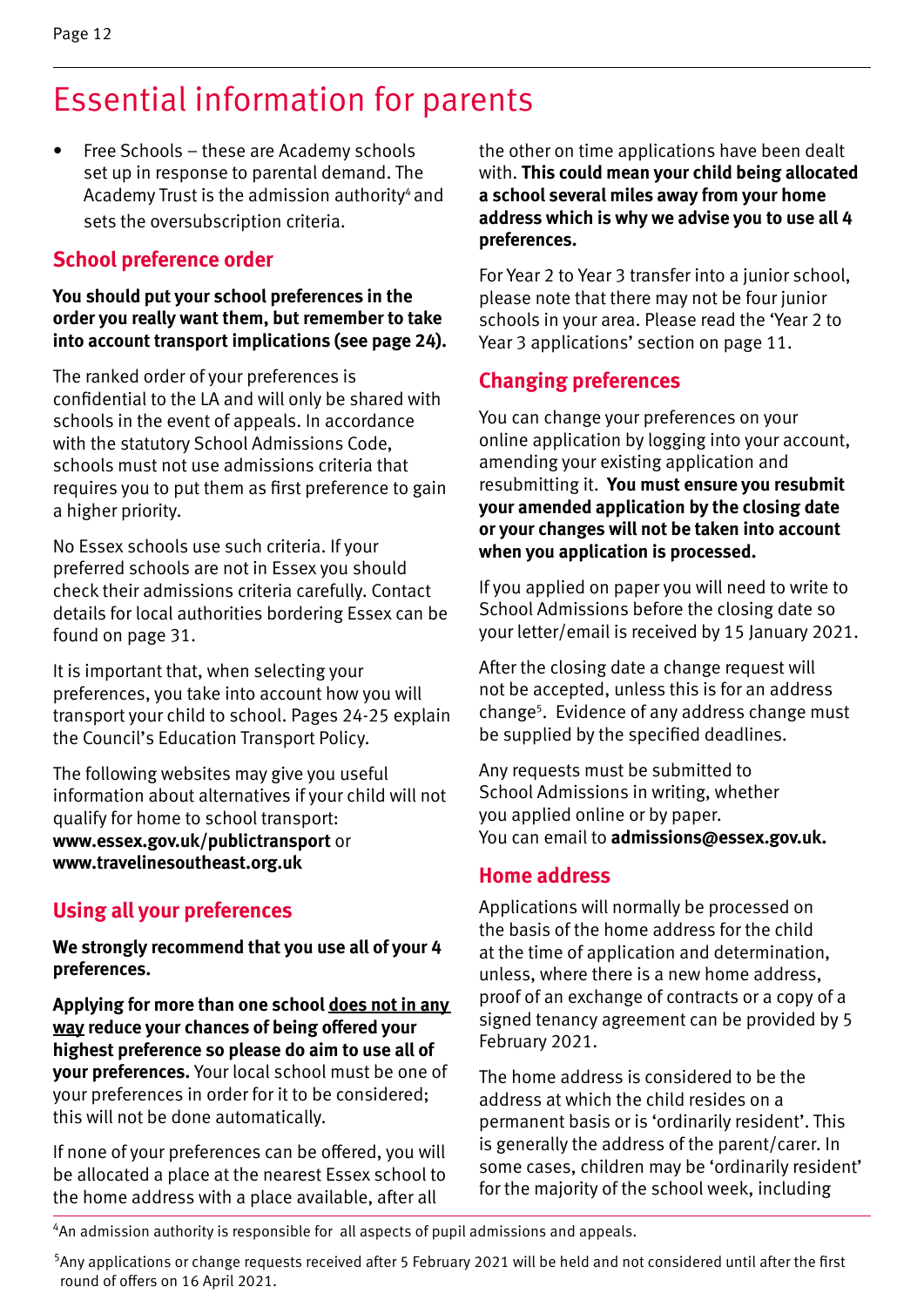• Free Schools – these are Academy schools set up in response to parental demand. The Academy Trust is the admission authority<sup>4</sup> and sets the oversubscription criteria.

#### **School preference order**

#### **You should put your school preferences in the order you really want them, but remember to take into account transport implications (see page 24).**

The ranked order of your preferences is confidential to the LA and will only be shared with schools in the event of appeals. In accordance with the statutory School Admissions Code, schools must not use admissions criteria that requires you to put them as first preference to gain a higher priority.

No Essex schools use such criteria. If your preferred schools are not in Essex you should check their admissions criteria carefully. Contact details for local authorities bordering Essex can be found on page 31.

It is important that, when selecting your preferences, you take into account how you will transport your child to school. Pages 24-25 explain the Council's Education Transport Policy.

The following websites may give you useful information about alternatives if your child will not qualify for home to school transport: **www.essex.gov.uk/publictransport** or **www.travelinesoutheast.org.uk**

#### **Using all your preferences**

**We strongly recommend that you use all of your 4 preferences.** 

**Applying for more than one school does not in any way reduce your chances of being offered your highest preference so please do aim to use all of your preferences.** Your local school must be one of your preferences in order for it to be considered; this will not be done automatically.

If none of your preferences can be offered, you will be allocated a place at the nearest Essex school to the home address with a place available, after all

the other on time applications have been dealt with. **This could mean your child being allocated a school several miles away from your home address which is why we advise you to use all 4 preferences.**

For Year 2 to Year 3 transfer into a junior school, please note that there may not be four junior schools in your area. Please read the 'Year 2 to Year 3 applications' section on page 11.

#### **Changing preferences**

You can change your preferences on your online application by logging into your account, amending your existing application and resubmitting it. **You must ensure you resubmit your amended application by the closing date or your changes will not be taken into account when you application is processed.**

If you applied on paper you will need to write to School Admissions before the closing date so your letter/email is received by 15 January 2021.

After the closing date a change request will not be accepted, unless this is for an address change<sup>5</sup>. Evidence of any address change must be supplied by the specified deadlines.

Any requests must be submitted to School Admissions in writing, whether you applied online or by paper. You can email to **admissions@essex.gov.uk.**

#### **Home address**

Applications will normally be processed on the basis of the home address for the child at the time of application and determination, unless, where there is a new home address, proof of an exchange of contracts or a copy of a signed tenancy agreement can be provided by 5 February 2021.

The home address is considered to be the address at which the child resides on a permanent basis or is 'ordinarily resident'. This is generally the address of the parent/carer. In some cases, children may be 'ordinarily resident' for the majority of the school week, including

<sup>4</sup>An admission authority is responsible for all aspects of pupil admissions and appeals.

<sup>5</sup> Any applications or change requests received after 5 February 2021 will be held and not considered until after the first round of offers on 16 April 2021.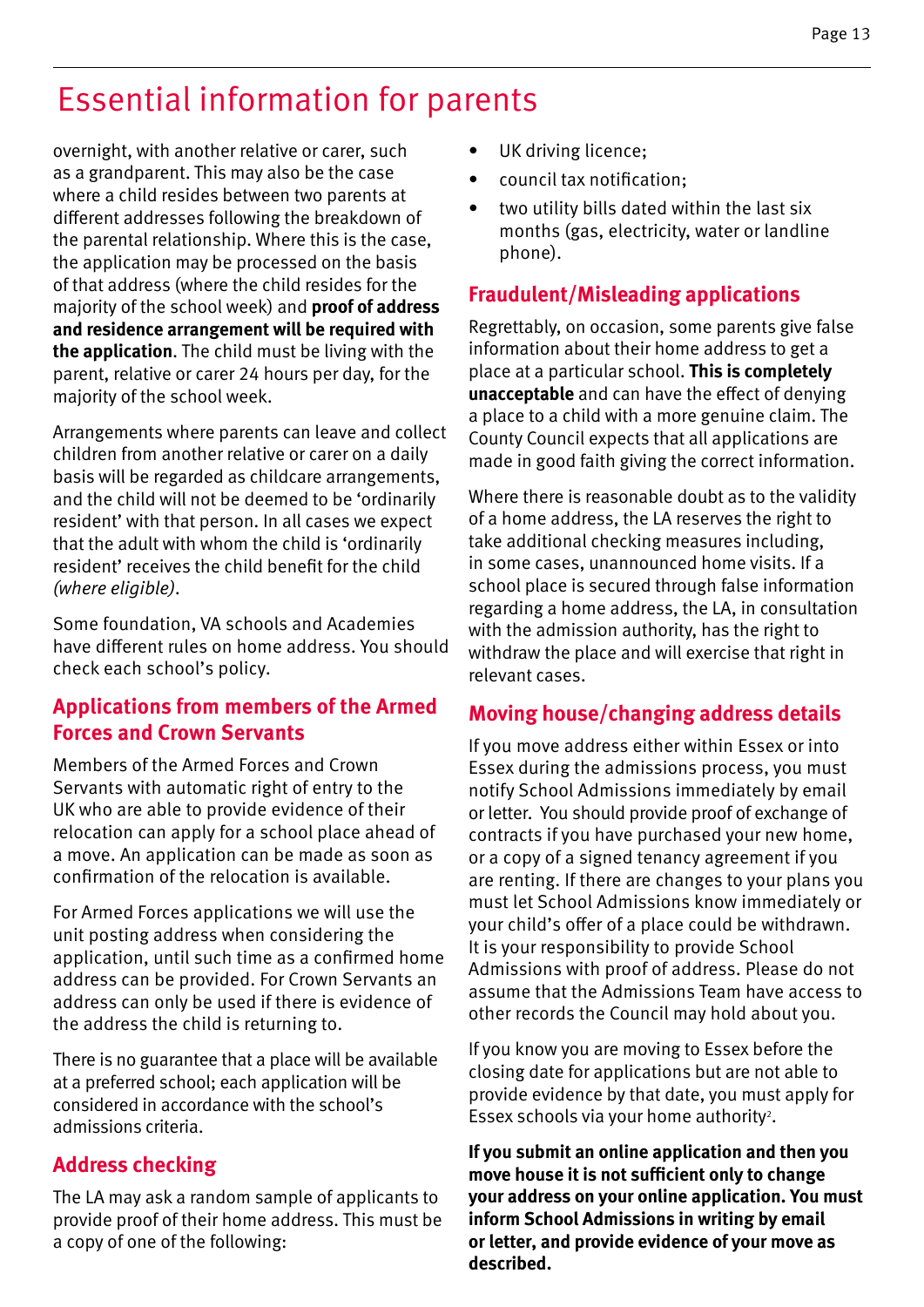overnight, with another relative or carer, such as a grandparent. This may also be the case where a child resides between two parents at different addresses following the breakdown of the parental relationship. Where this is the case, the application may be processed on the basis of that address (where the child resides for the majority of the school week) and **proof of address and residence arrangement will be required with the application**. The child must be living with the parent, relative or carer 24 hours per day, for the majority of the school week.

Arrangements where parents can leave and collect children from another relative or carer on a daily basis will be regarded as childcare arrangements, and the child will not be deemed to be 'ordinarily resident' with that person. In all cases we expect that the adult with whom the child is 'ordinarily resident' receives the child benefit for the child *(where eligible)*.

Some foundation, VA schools and Academies have different rules on home address. You should check each school's policy.

#### **Applications from members of the Armed Forces and Crown Servants**

Members of the Armed Forces and Crown Servants with automatic right of entry to the UK who are able to provide evidence of their relocation can apply for a school place ahead of a move. An application can be made as soon as confirmation of the relocation is available.

For Armed Forces applications we will use the unit posting address when considering the application, until such time as a confirmed home address can be provided. For Crown Servants an address can only be used if there is evidence of the address the child is returning to.

There is no guarantee that a place will be available at a preferred school; each application will be considered in accordance with the school's admissions criteria.

#### **Address checking**

The LA may ask a random sample of applicants to provide proof of their home address. This must be a copy of one of the following:

- UK driving licence;
- council tax notification;
- two utility bills dated within the last six months (gas, electricity, water or landline phone).

#### **Fraudulent/Misleading applications**

Regrettably, on occasion, some parents give false information about their home address to get a place at a particular school. **This is completely unacceptable** and can have the effect of denying a place to a child with a more genuine claim. The County Council expects that all applications are made in good faith giving the correct information.

Where there is reasonable doubt as to the validity of a home address, the LA reserves the right to take additional checking measures including, in some cases, unannounced home visits. If a school place is secured through false information regarding a home address, the LA, in consultation with the admission authority, has the right to withdraw the place and will exercise that right in relevant cases.

#### **Moving house/changing address details**

If you move address either within Essex or into Essex during the admissions process, you must notify School Admissions immediately by email or letter. You should provide proof of exchange of contracts if you have purchased your new home, or a copy of a signed tenancy agreement if you are renting. If there are changes to your plans you must let School Admissions know immediately or your child's offer of a place could be withdrawn. It is your responsibility to provide School Admissions with proof of address. Please do not assume that the Admissions Team have access to other records the Council may hold about you.

If you know you are moving to Essex before the closing date for applications but are not able to provide evidence by that date, you must apply for Essex schools via your home authority<sup>2</sup>.

**If you submit an online application and then you move house it is not sufficient only to change your address on your online application. You must inform School Admissions in writing by email or letter, and provide evidence of your move as described.**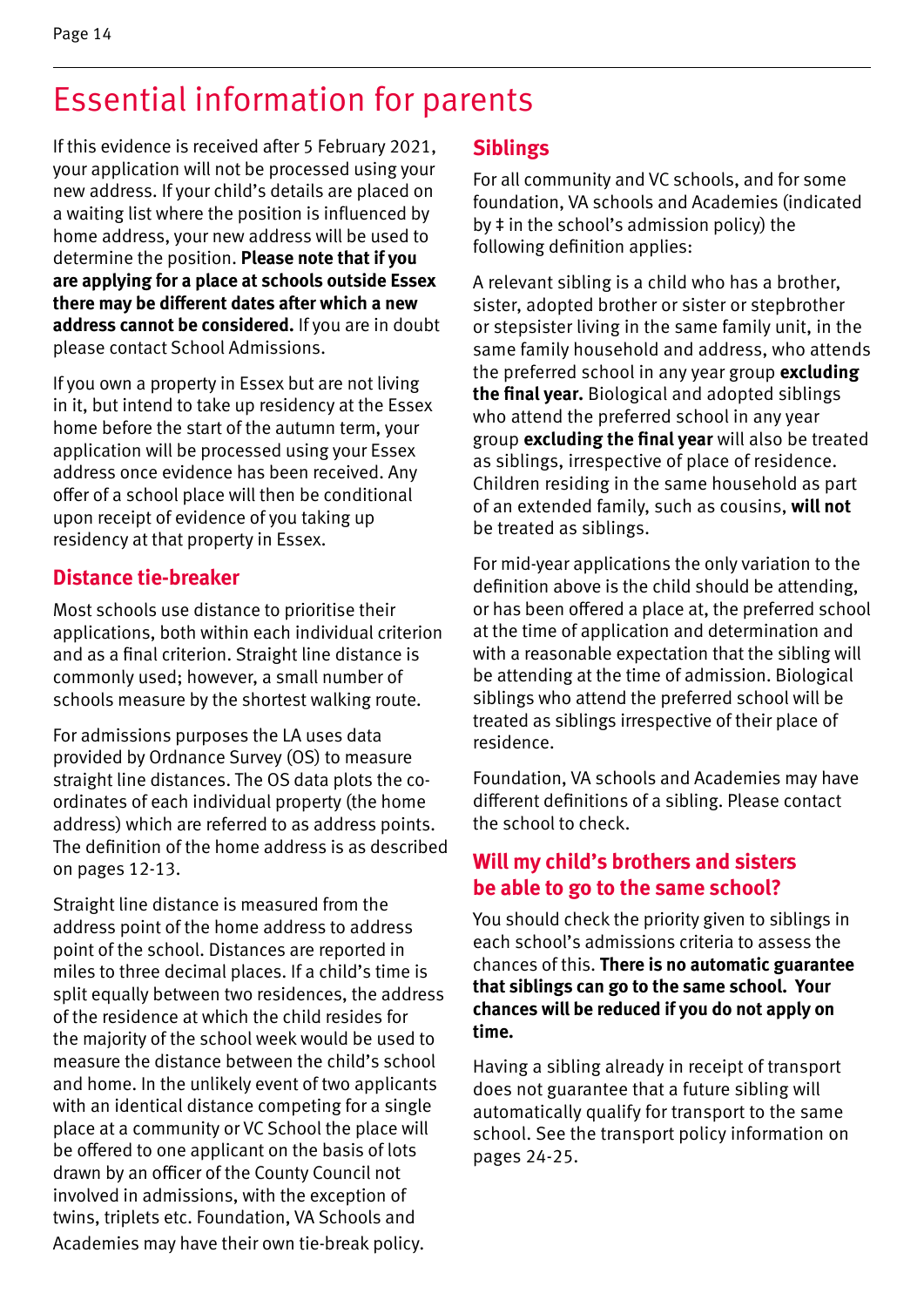If this evidence is received after 5 February 2021, your application will not be processed using your new address. If your child's details are placed on a waiting list where the position is influenced by home address, your new address will be used to determine the position. **Please note that if you are applying for a place at schools outside Essex there may be different dates after which a new address cannot be considered.** If you are in doubt please contact School Admissions.

If you own a property in Essex but are not living in it, but intend to take up residency at the Essex home before the start of the autumn term, your application will be processed using your Essex address once evidence has been received. Any offer of a school place will then be conditional upon receipt of evidence of you taking up residency at that property in Essex.

#### **Distance tie-breaker**

Most schools use distance to prioritise their applications, both within each individual criterion and as a final criterion. Straight line distance is commonly used; however, a small number of schools measure by the shortest walking route.

For admissions purposes the LA uses data provided by Ordnance Survey (OS) to measure straight line distances. The OS data plots the coordinates of each individual property (the home address) which are referred to as address points. The definition of the home address is as described on pages 12-13.

Straight line distance is measured from the address point of the home address to address point of the school. Distances are reported in miles to three decimal places. If a child's time is split equally between two residences, the address of the residence at which the child resides for the majority of the school week would be used to measure the distance between the child's school and home. In the unlikely event of two applicants with an identical distance competing for a single place at a community or VC School the place will be offered to one applicant on the basis of lots drawn by an officer of the County Council not involved in admissions, with the exception of twins, triplets etc. Foundation, VA Schools and Academies may have their own tie-break policy.

#### **Siblings**

For all community and VC schools, and for some foundation, VA schools and Academies (indicated by ‡ in the school's admission policy) the following definition applies:

A relevant sibling is a child who has a brother, sister, adopted brother or sister or stepbrother or stepsister living in the same family unit, in the same family household and address, who attends the preferred school in any year group **excluding the final year.** Biological and adopted siblings who attend the preferred school in any year group **excluding the final year** will also be treated as siblings, irrespective of place of residence. Children residing in the same household as part of an extended family, such as cousins, **will not**  be treated as siblings.

For mid-year applications the only variation to the definition above is the child should be attending, or has been offered a place at, the preferred school at the time of application and determination and with a reasonable expectation that the sibling will be attending at the time of admission. Biological siblings who attend the preferred school will be treated as siblings irrespective of their place of residence.

Foundation, VA schools and Academies may have different definitions of a sibling. Please contact the school to check.

#### **Will my child's brothers and sisters be able to go to the same school?**

You should check the priority given to siblings in each school's admissions criteria to assess the chances of this. **There is no automatic guarantee that siblings can go to the same school. Your chances will be reduced if you do not apply on time.**

Having a sibling already in receipt of transport does not guarantee that a future sibling will automatically qualify for transport to the same school. See the transport policy information on pages 24-25.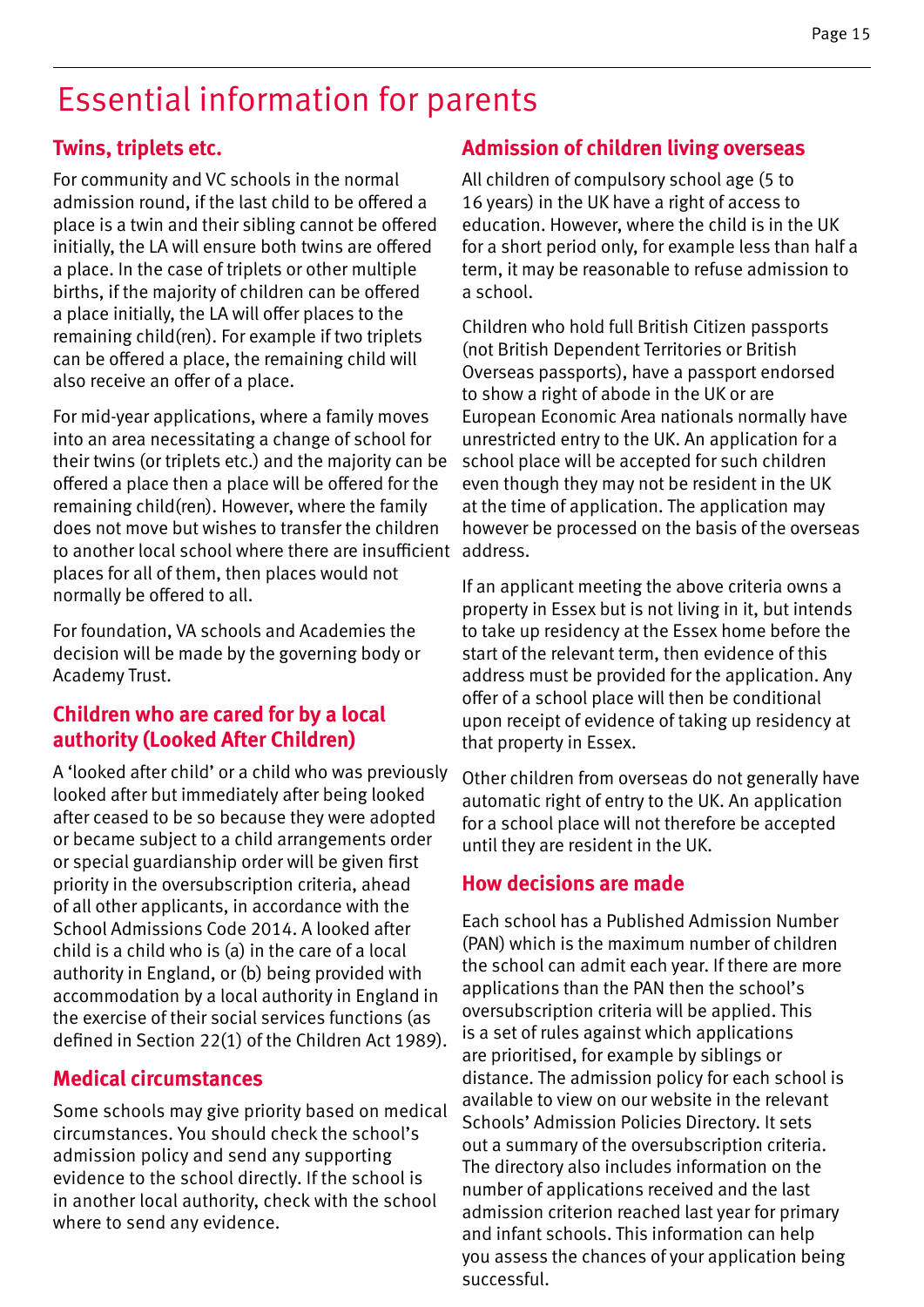#### **Twins, triplets etc.**

For community and VC schools in the normal admission round, if the last child to be offered a place is a twin and their sibling cannot be offered initially, the LA will ensure both twins are offered a place. In the case of triplets or other multiple births, if the majority of children can be offered a place initially, the LA will offer places to the remaining child(ren). For example if two triplets can be offered a place, the remaining child will also receive an offer of a place.

For mid-year applications, where a family moves into an area necessitating a change of school for their twins (or triplets etc.) and the majority can be offered a place then a place will be offered for the remaining child(ren). However, where the family does not move but wishes to transfer the children to another local school where there are insufficient address. places for all of them, then places would not normally be offered to all.

For foundation, VA schools and Academies the decision will be made by the governing body or Academy Trust.

#### **Children who are cared for by a local authority (Looked After Children)**

A 'looked after child' or a child who was previously looked after but immediately after being looked after ceased to be so because they were adopted or became subject to a child arrangements order or special guardianship order will be given first priority in the oversubscription criteria, ahead of all other applicants, in accordance with the School Admissions Code 2014. A looked after child is a child who is (a) in the care of a local authority in England, or (b) being provided with accommodation by a local authority in England in the exercise of their social services functions (as defined in Section 22(1) of the Children Act 1989).

#### **Medical circumstances**

Some schools may give priority based on medical circumstances. You should check the school's admission policy and send any supporting evidence to the school directly. If the school is in another local authority, check with the school where to send any evidence.

#### **Admission of children living overseas**

All children of compulsory school age (5 to 16 years) in the UK have a right of access to education. However, where the child is in the UK for a short period only, for example less than half a term, it may be reasonable to refuse admission to a school.

Children who hold full British Citizen passports (not British Dependent Territories or British Overseas passports), have a passport endorsed to show a right of abode in the UK or are European Economic Area nationals normally have unrestricted entry to the UK. An application for a school place will be accepted for such children even though they may not be resident in the UK at the time of application. The application may however be processed on the basis of the overseas

If an applicant meeting the above criteria owns a property in Essex but is not living in it, but intends to take up residency at the Essex home before the start of the relevant term, then evidence of this address must be provided for the application. Any offer of a school place will then be conditional upon receipt of evidence of taking up residency at that property in Essex.

Other children from overseas do not generally have automatic right of entry to the UK. An application for a school place will not therefore be accepted until they are resident in the UK.

#### **How decisions are made**

Each school has a Published Admission Number (PAN) which is the maximum number of children the school can admit each year. If there are more applications than the PAN then the school's oversubscription criteria will be applied. This is a set of rules against which applications are prioritised, for example by siblings or distance. The admission policy for each school is available to view on our website in the relevant Schools' Admission Policies Directory. It sets out a summary of the oversubscription criteria. The directory also includes information on the number of applications received and the last admission criterion reached last year for primary and infant schools. This information can help you assess the chances of your application being successful.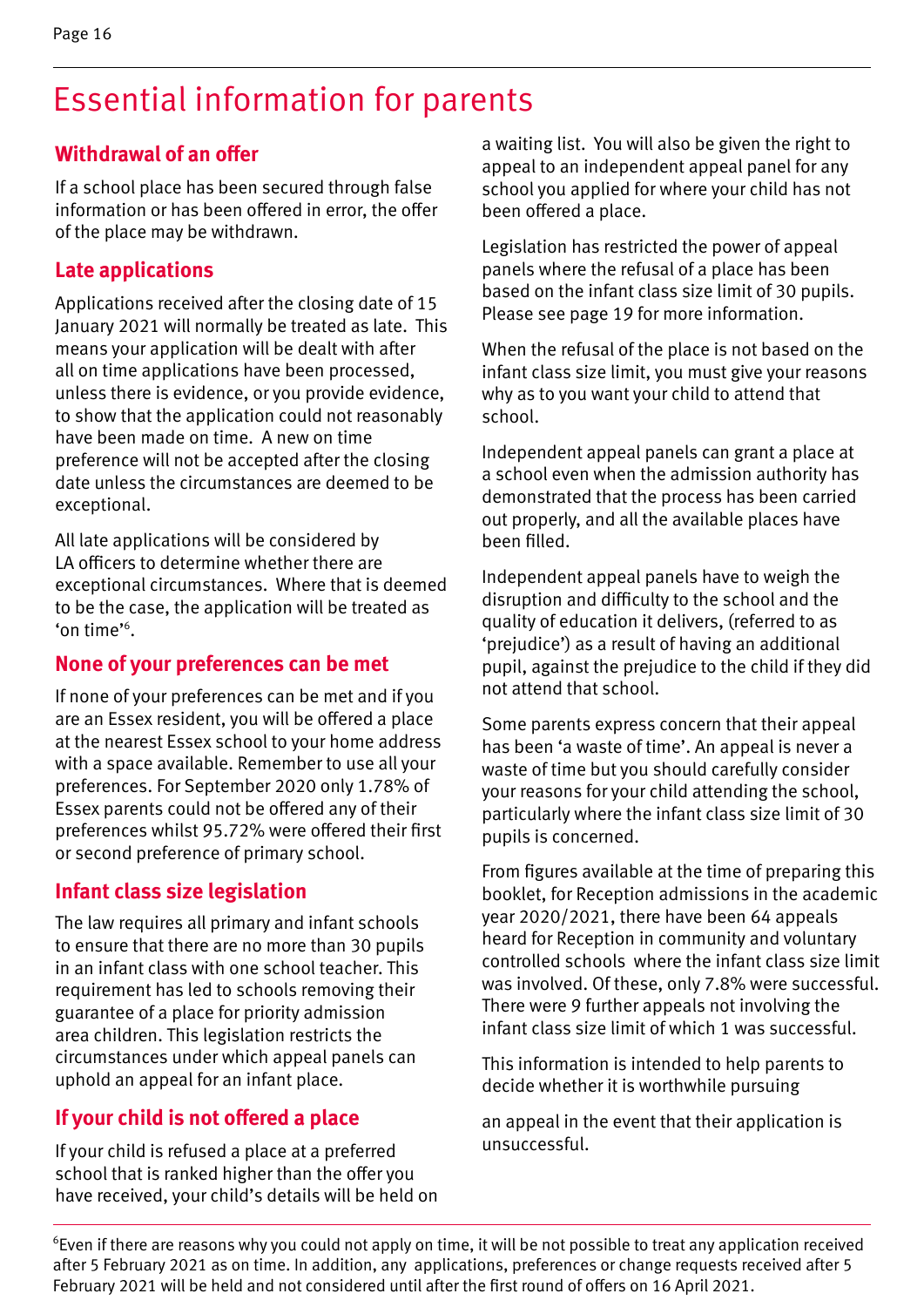#### **Withdrawal of an offer**

If a school place has been secured through false information or has been offered in error, the offer of the place may be withdrawn.

#### **Late applications**

Applications received after the closing date of 15 January 2021 will normally be treated as late. This means your application will be dealt with after all on time applications have been processed, unless there is evidence, or you provide evidence, to show that the application could not reasonably have been made on time. A new on time preference will not be accepted after the closing date unless the circumstances are deemed to be exceptional.

All late applications will be considered by LA officers to determine whether there are exceptional circumstances. Where that is deemed to be the case, the application will be treated as 'on time'6 .

#### **None of your preferences can be met**

If none of your preferences can be met and if you are an Essex resident, you will be offered a place at the nearest Essex school to your home address with a space available. Remember to use all your preferences. For September 2020 only 1.78% of Essex parents could not be offered any of their preferences whilst 95.72% were offered their first or second preference of primary school.

#### **Infant class size legislation**

The law requires all primary and infant schools to ensure that there are no more than 30 pupils in an infant class with one school teacher. This requirement has led to schools removing their guarantee of a place for priority admission area children. This legislation restricts the circumstances under which appeal panels can uphold an appeal for an infant place.

#### **If your child is not offered a place**

If your child is refused a place at a preferred school that is ranked higher than the offer you have received, your child's details will be held on a waiting list. You will also be given the right to appeal to an independent appeal panel for any school you applied for where your child has not been offered a place.

Legislation has restricted the power of appeal panels where the refusal of a place has been based on the infant class size limit of 30 pupils. Please see page 19 for more information.

When the refusal of the place is not based on the infant class size limit, you must give your reasons why as to you want your child to attend that school.

Independent appeal panels can grant a place at a school even when the admission authority has demonstrated that the process has been carried out properly, and all the available places have been filled.

Independent appeal panels have to weigh the disruption and difficulty to the school and the quality of education it delivers, (referred to as 'prejudice') as a result of having an additional pupil, against the prejudice to the child if they did not attend that school.

Some parents express concern that their appeal has been 'a waste of time'. An appeal is never a waste of time but you should carefully consider your reasons for your child attending the school, particularly where the infant class size limit of 30 pupils is concerned.

From figures available at the time of preparing this booklet, for Reception admissions in the academic year 2020/2021, there have been 64 appeals heard for Reception in community and voluntary controlled schools where the infant class size limit was involved. Of these, only 7.8% were successful. There were 9 further appeals not involving the infant class size limit of which 1 was successful.

This information is intended to help parents to decide whether it is worthwhile pursuing

an appeal in the event that their application is unsuccessful.

<sup>6</sup>Even if there are reasons why you could not apply on time, it will be not possible to treat any application received after 5 February 2021 as on time. In addition, any applications, preferences or change requests received after 5 February 2021 will be held and not considered until after the first round of offers on 16 April 2021.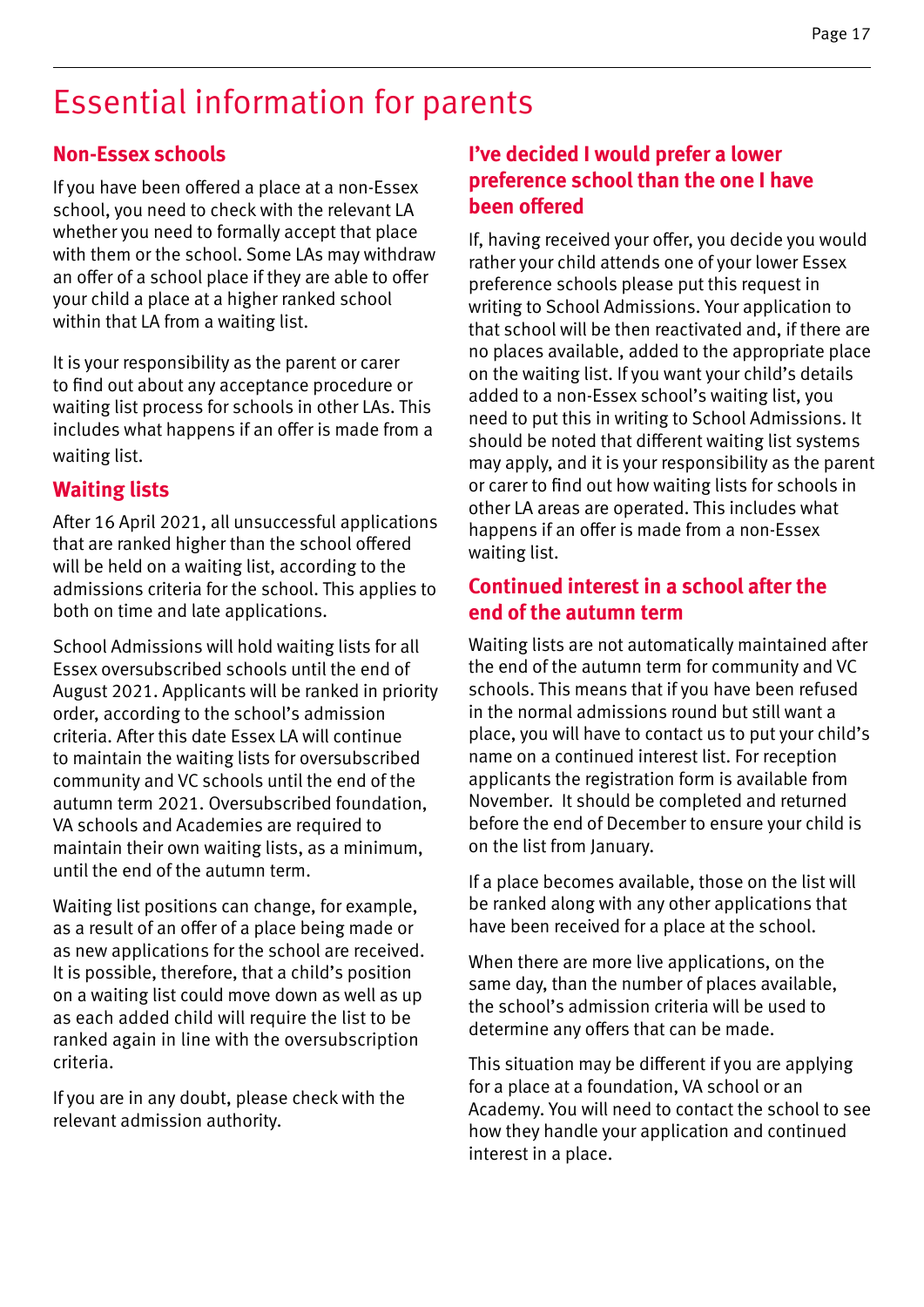#### **Non-Essex schools**

If you have been offered a place at a non-Essex school, you need to check with the relevant LA whether you need to formally accept that place with them or the school. Some LAs may withdraw an offer of a school place if they are able to offer your child a place at a higher ranked school within that LA from a waiting list.

It is your responsibility as the parent or carer to find out about any acceptance procedure or waiting list process for schools in other LAs. This includes what happens if an offer is made from a waiting list.

#### **Waiting lists**

After 16 April 2021, all unsuccessful applications that are ranked higher than the school offered will be held on a waiting list, according to the admissions criteria for the school. This applies to both on time and late applications.

School Admissions will hold waiting lists for all Essex oversubscribed schools until the end of August 2021. Applicants will be ranked in priority order, according to the school's admission criteria. After this date Essex LA will continue to maintain the waiting lists for oversubscribed community and VC schools until the end of the autumn term 2021. Oversubscribed foundation, VA schools and Academies are required to maintain their own waiting lists, as a minimum, until the end of the autumn term.

Waiting list positions can change, for example, as a result of an offer of a place being made or as new applications for the school are received. It is possible, therefore, that a child's position on a waiting list could move down as well as up as each added child will require the list to be ranked again in line with the oversubscription criteria.

If you are in any doubt, please check with the relevant admission authority.

#### **I've decided I would prefer a lower preference school than the one I have been offered**

If, having received your offer, you decide you would rather your child attends one of your lower Essex preference schools please put this request in writing to School Admissions. Your application to that school will be then reactivated and, if there are no places available, added to the appropriate place on the waiting list. If you want your child's details added to a non-Essex school's waiting list, you need to put this in writing to School Admissions. It should be noted that different waiting list systems may apply, and it is your responsibility as the parent or carer to find out how waiting lists for schools in other LA areas are operated. This includes what happens if an offer is made from a non-Essex waiting list.

#### **Continued interest in a school after the end of the autumn term**

Waiting lists are not automatically maintained after the end of the autumn term for community and VC schools. This means that if you have been refused in the normal admissions round but still want a place, you will have to contact us to put your child's name on a continued interest list. For reception applicants the registration form is available from November. It should be completed and returned before the end of December to ensure your child is on the list from January.

If a place becomes available, those on the list will be ranked along with any other applications that have been received for a place at the school.

When there are more live applications, on the same day, than the number of places available, the school's admission criteria will be used to determine any offers that can be made.

This situation may be different if you are applying for a place at a foundation, VA school or an Academy. You will need to contact the school to see how they handle your application and continued interest in a place.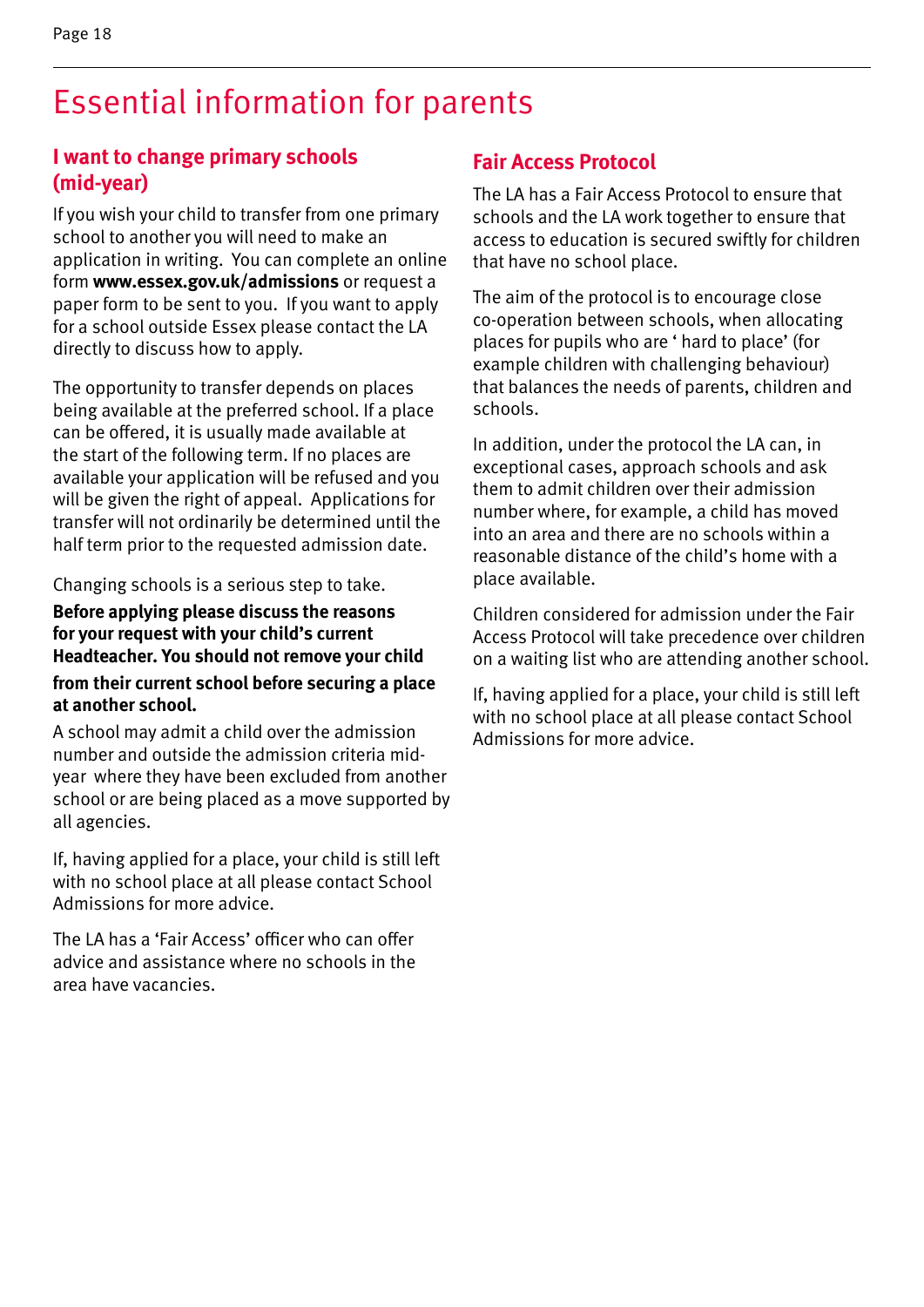#### **I want to change primary schools (mid-year)**

If you wish your child to transfer from one primary school to another you will need to make an application in writing. You can complete an online form **www.essex.gov.uk/admissions** or request a paper form to be sent to you. If you want to apply for a school outside Essex please contact the LA directly to discuss how to apply.

The opportunity to transfer depends on places being available at the preferred school. If a place can be offered, it is usually made available at the start of the following term. If no places are available your application will be refused and you will be given the right of appeal. Applications for transfer will not ordinarily be determined until the half term prior to the requested admission date.

Changing schools is a serious step to take.

**Before applying please discuss the reasons for your request with your child's current Headteacher. You should not remove your child from their current school before securing a place at another school.**

A school may admit a child over the admission number and outside the admission criteria midyear where they have been excluded from another school or are being placed as a move supported by all agencies.

If, having applied for a place, your child is still left with no school place at all please contact School Admissions for more advice.

The LA has a 'Fair Access' officer who can offer advice and assistance where no schools in the area have vacancies.

#### **Fair Access Protocol**

The LA has a Fair Access Protocol to ensure that schools and the LA work together to ensure that access to education is secured swiftly for children that have no school place.

The aim of the protocol is to encourage close co-operation between schools, when allocating places for pupils who are ' hard to place' (for example children with challenging behaviour) that balances the needs of parents, children and schools.

In addition, under the protocol the LA can, in exceptional cases, approach schools and ask them to admit children over their admission number where, for example, a child has moved into an area and there are no schools within a reasonable distance of the child's home with a place available.

Children considered for admission under the Fair Access Protocol will take precedence over children on a waiting list who are attending another school.

If, having applied for a place, your child is still left with no school place at all please contact School Admissions for more advice.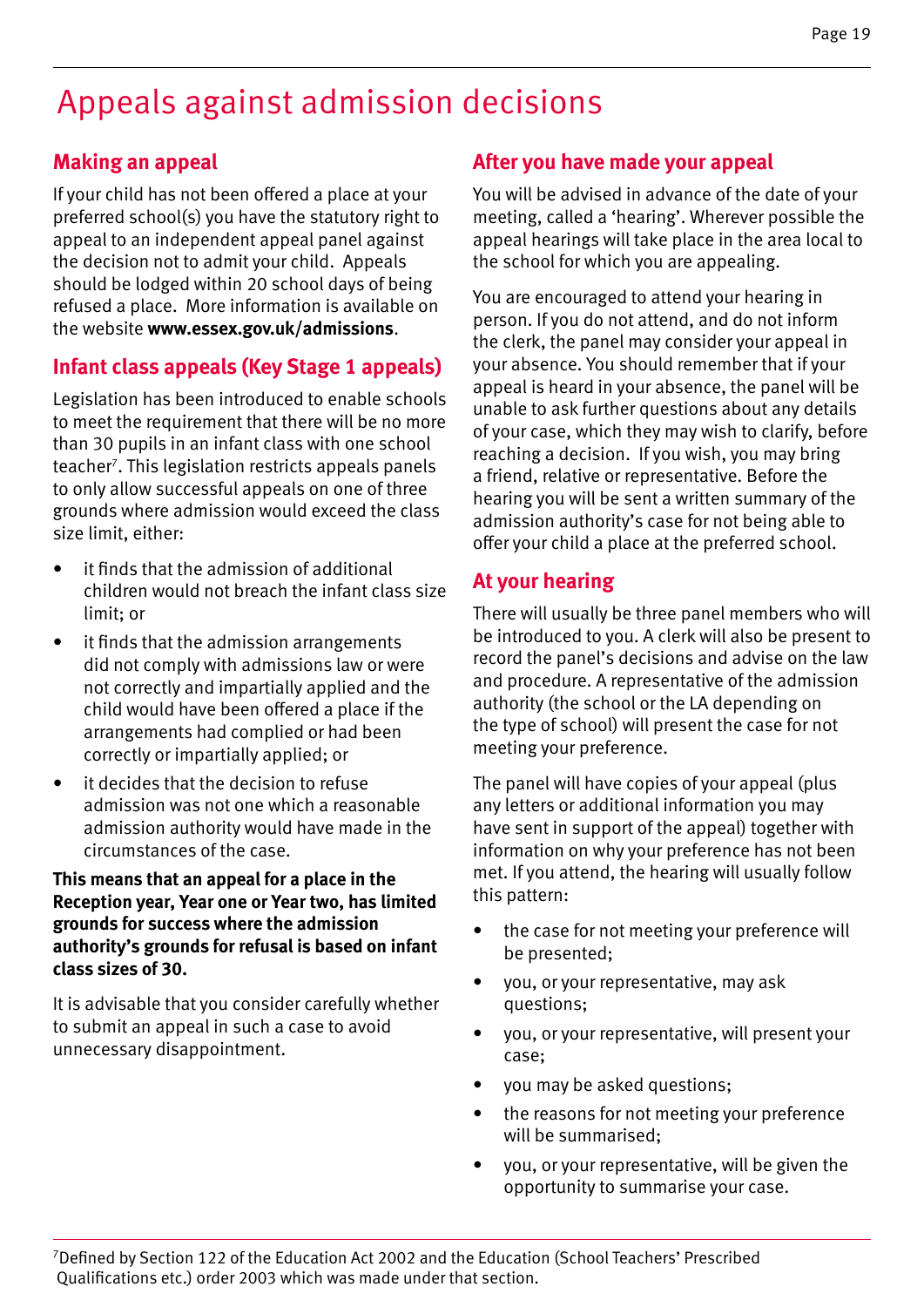### Appeals against admission decisions

#### **Making an appeal**

If your child has not been offered a place at your preferred school(s) you have the statutory right to appeal to an independent appeal panel against the decision not to admit your child. Appeals should be lodged within 20 school days of being refused a place. More information is available on the website **www.essex.gov.uk/admissions**.

#### **Infant class appeals (Key Stage 1 appeals)**

Legislation has been introduced to enable schools to meet the requirement that there will be no more than 30 pupils in an infant class with one school teacher7 . This legislation restricts appeals panels to only allow successful appeals on one of three grounds where admission would exceed the class size limit, either:

- it finds that the admission of additional children would not breach the infant class size limit; or
- it finds that the admission arrangements did not comply with admissions law or were not correctly and impartially applied and the child would have been offered a place if the arrangements had complied or had been correctly or impartially applied; or
- it decides that the decision to refuse admission was not one which a reasonable admission authority would have made in the circumstances of the case.

#### **This means that an appeal for a place in the Reception year, Year one or Year two, has limited grounds for success where the admission authority's grounds for refusal is based on infant class sizes of 30.**

It is advisable that you consider carefully whether to submit an appeal in such a case to avoid unnecessary disappointment.

#### **After you have made your appeal**

You will be advised in advance of the date of your meeting, called a 'hearing'. Wherever possible the appeal hearings will take place in the area local to the school for which you are appealing.

You are encouraged to attend your hearing in person. If you do not attend, and do not inform the clerk, the panel may consider your appeal in your absence. You should remember that if your appeal is heard in your absence, the panel will be unable to ask further questions about any details of your case, which they may wish to clarify, before reaching a decision. If you wish, you may bring a friend, relative or representative. Before the hearing you will be sent a written summary of the admission authority's case for not being able to offer your child a place at the preferred school.

#### **At your hearing**

There will usually be three panel members who will be introduced to you. A clerk will also be present to record the panel's decisions and advise on the law and procedure. A representative of the admission authority (the school or the LA depending on the type of school) will present the case for not meeting your preference.

The panel will have copies of your appeal (plus any letters or additional information you may have sent in support of the appeal) together with information on why your preference has not been met. If you attend, the hearing will usually follow this pattern:

- the case for not meeting your preference will be presented;
- you, or your representative, may ask questions;
- you, or your representative, will present your case;
- vou may be asked questions:
- the reasons for not meeting your preference will be summarised;
- you, or your representative, will be given the opportunity to summarise your case.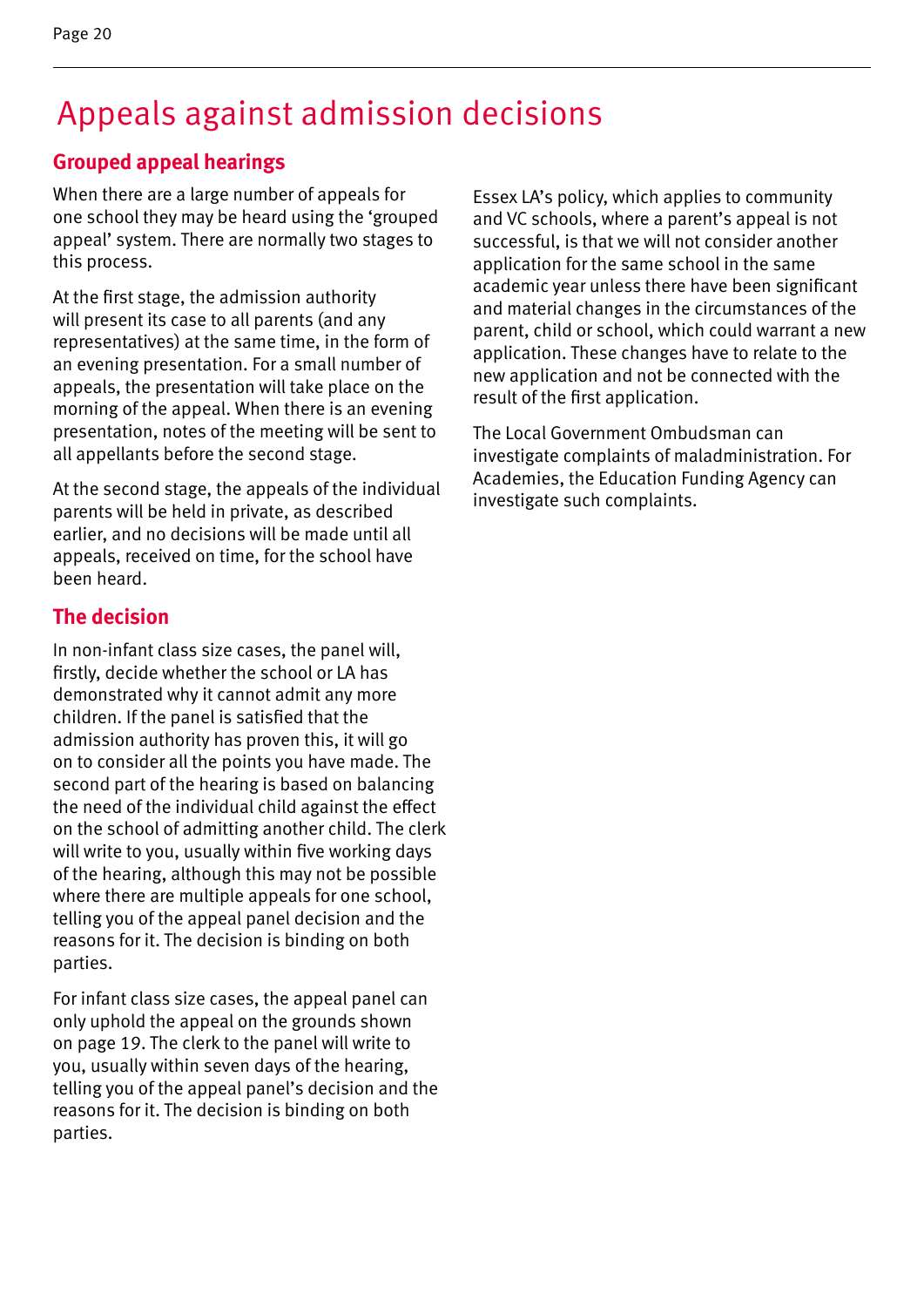### Appeals against admission decisions

#### **Grouped appeal hearings**

When there are a large number of appeals for one school they may be heard using the 'grouped appeal' system. There are normally two stages to this process.

At the first stage, the admission authority will present its case to all parents (and any representatives) at the same time, in the form of an evening presentation. For a small number of appeals, the presentation will take place on the morning of the appeal. When there is an evening presentation, notes of the meeting will be sent to all appellants before the second stage.

At the second stage, the appeals of the individual parents will be held in private, as described earlier, and no decisions will be made until all appeals, received on time, for the school have been heard.

#### **The decision**

In non-infant class size cases, the panel will, firstly, decide whether the school or LA has demonstrated why it cannot admit any more children. If the panel is satisfied that the admission authority has proven this, it will go on to consider all the points you have made. The second part of the hearing is based on balancing the need of the individual child against the effect on the school of admitting another child. The clerk will write to you, usually within five working days of the hearing, although this may not be possible where there are multiple appeals for one school, telling you of the appeal panel decision and the reasons for it. The decision is binding on both parties.

For infant class size cases, the appeal panel can only uphold the appeal on the grounds shown on page 19. The clerk to the panel will write to you, usually within seven days of the hearing, telling you of the appeal panel's decision and the reasons for it. The decision is binding on both parties.

Essex LA's policy, which applies to community and VC schools, where a parent's appeal is not successful, is that we will not consider another application for the same school in the same academic year unless there have been significant and material changes in the circumstances of the parent, child or school, which could warrant a new application. These changes have to relate to the new application and not be connected with the result of the first application.

The Local Government Ombudsman can investigate complaints of maladministration. For Academies, the Education Funding Agency can investigate such complaints.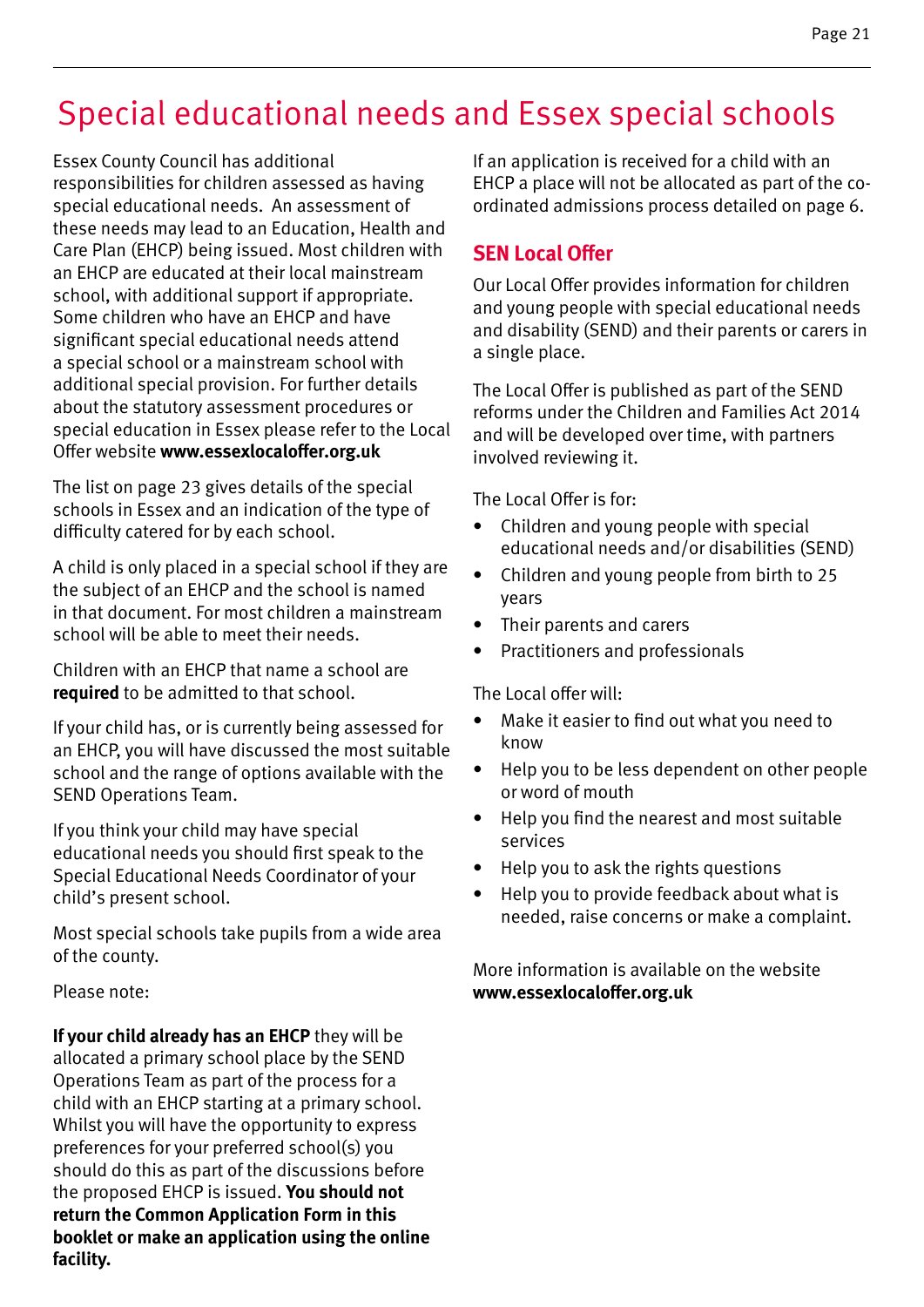## Special educational needs and Essex special schools

Essex County Council has additional responsibilities for children assessed as having special educational needs. An assessment of these needs may lead to an Education, Health and Care Plan (EHCP) being issued. Most children with an EHCP are educated at their local mainstream school, with additional support if appropriate. Some children who have an EHCP and have significant special educational needs attend a special school or a mainstream school with additional special provision. For further details about the statutory assessment procedures or special education in Essex please refer to the Local Offer website **www.essexlocaloffer.org.uk**

The list on page 23 gives details of the special schools in Essex and an indication of the type of difficulty catered for by each school.

A child is only placed in a special school if they are the subject of an EHCP and the school is named in that document. For most children a mainstream school will be able to meet their needs.

Children with an EHCP that name a school are **required** to be admitted to that school.

If your child has, or is currently being assessed for an EHCP, you will have discussed the most suitable school and the range of options available with the SEND Operations Team.

If you think your child may have special educational needs you should first speak to the Special Educational Needs Coordinator of your child's present school.

Most special schools take pupils from a wide area of the county.

Please note:

**If your child already has an EHCP** they will be allocated a primary school place by the SEND Operations Team as part of the process for a child with an EHCP starting at a primary school. Whilst you will have the opportunity to express preferences for your preferred school(s) you should do this as part of the discussions before the proposed EHCP is issued. **You should not return the Common Application Form in this booklet or make an application using the online facility.**

If an application is received for a child with an EHCP a place will not be allocated as part of the coordinated admissions process detailed on page 6.

#### **SEN Local Offer**

Our Local Offer provides information for children and young people with special educational needs and disability (SEND) and their parents or carers in a single place.

The Local Offer is published as part of the SEND reforms under the Children and Families Act 2014 and will be developed over time, with partners involved reviewing it.

The Local Offer is for:

- Children and young people with special educational needs and/or disabilities (SEND)
- Children and young people from birth to 25 years
- Their parents and carers
- Practitioners and professionals

The Local offer will:

- Make it easier to find out what you need to know
- Help you to be less dependent on other people or word of mouth
- Help you find the nearest and most suitable services
- Help you to ask the rights questions
- Help you to provide feedback about what is needed, raise concerns or make a complaint.

More information is available on the website **www.essexlocaloffer.org.uk**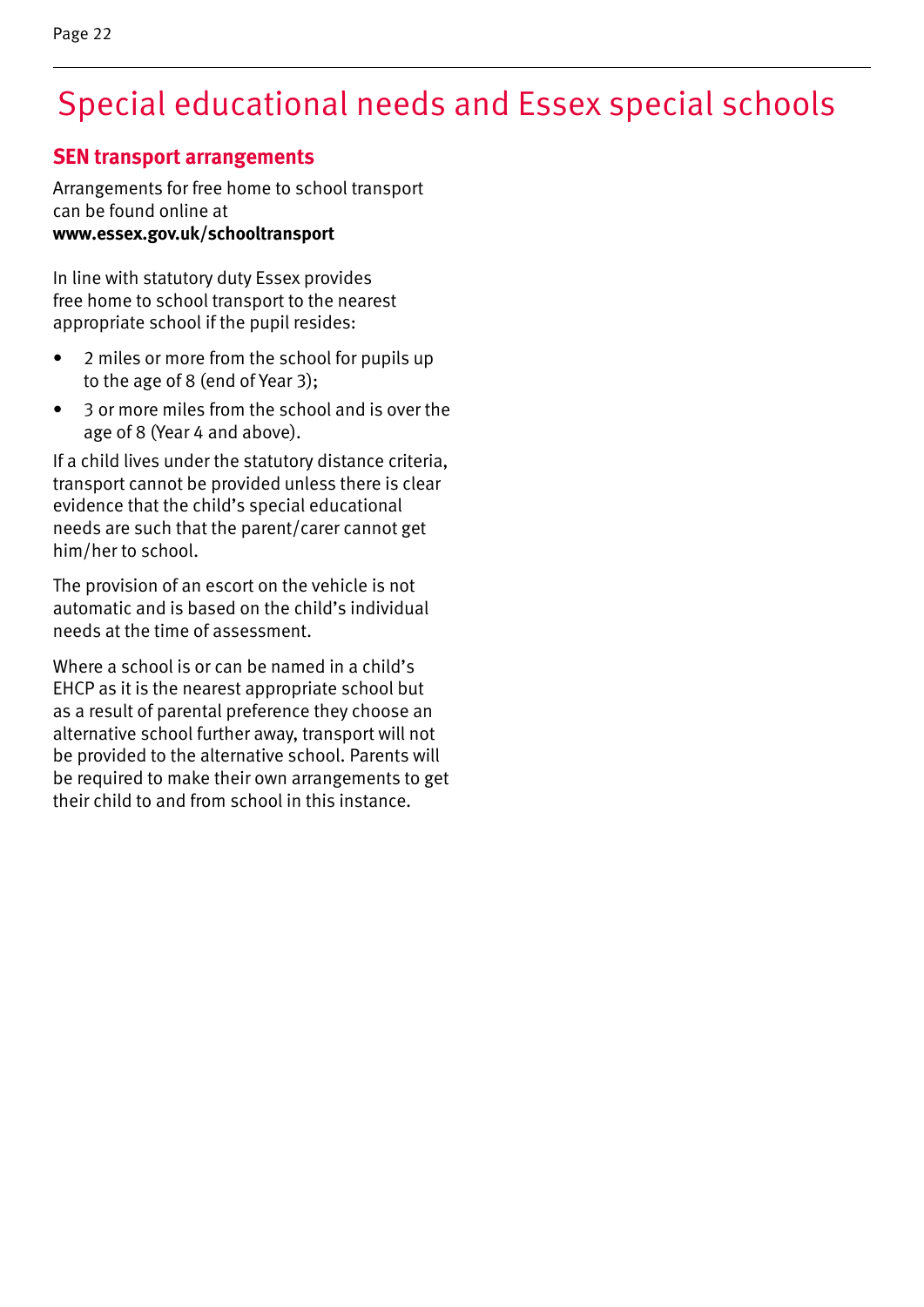# Special educational needs and Essex special schools

#### **SEN transport arrangements**

Arrangements for free home to school transport can be found online at **www.essex.gov.uk/schooltransport**

In line with statutory duty Essex provides free home to school transport to the nearest appropriate school if the pupil resides:

- 2 miles or more from the school for pupils up to the age of 8 (end of Year 3);
- 3 or more miles from the school and is over the age of 8 (Year 4 and above).

If a child lives under the statutory distance criteria, transport cannot be provided unless there is clear evidence that the child's special educational needs are such that the parent/carer cannot get him/her to school.

The provision of an escort on the vehicle is not automatic and is based on the child's individual needs at the time of assessment.

Where a school is or can be named in a child's EHCP as it is the nearest appropriate school but as a result of parental preference they choose an alternative school further away, transport will not be provided to the alternative school. Parents will be required to make their own arrangements to get their child to and from school in this instance.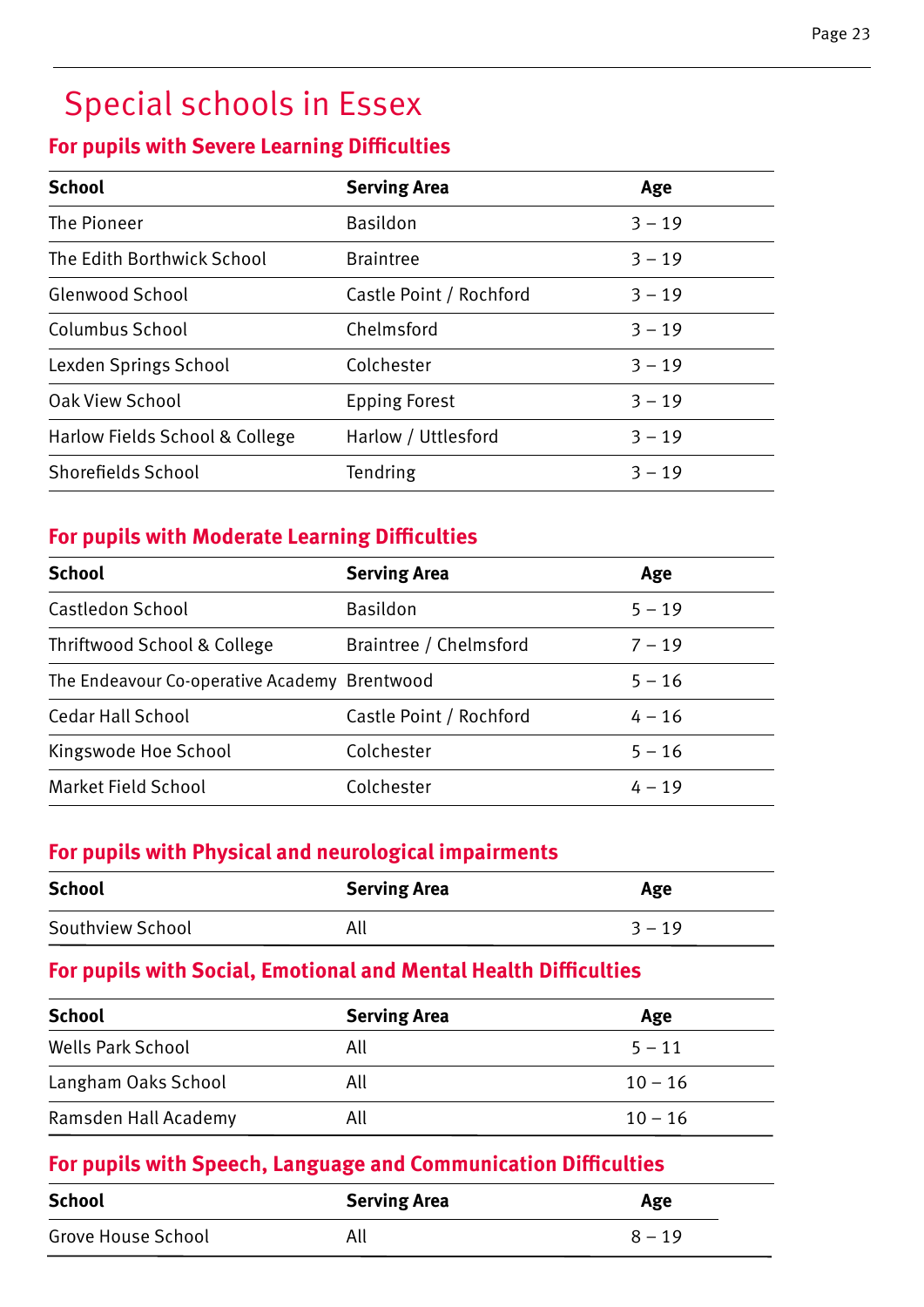# Special schools in Essex

#### **For pupils with Severe Learning Difficulties**

| <b>School</b>                  | <b>Serving Area</b>     | Age      |
|--------------------------------|-------------------------|----------|
| The Pioneer                    | <b>Basildon</b>         | $3 - 19$ |
| The Edith Borthwick School     | <b>Braintree</b>        | $3 - 19$ |
| Glenwood School                | Castle Point / Rochford | $3 - 19$ |
| Columbus School                | Chelmsford              | $3 - 19$ |
| Lexden Springs School          | Colchester              | $3 - 19$ |
| Oak View School                | <b>Epping Forest</b>    | $3 - 19$ |
| Harlow Fields School & College | Harlow / Uttlesford     | $3 - 19$ |
| Shorefields School             | <b>Tendring</b>         | $3 - 19$ |

#### **For pupils with Moderate Learning Difficulties**

| <b>School</b>                                | <b>Serving Area</b>     | Age      |
|----------------------------------------------|-------------------------|----------|
| Castledon School                             | <b>Basildon</b>         | $5 - 19$ |
| Thriftwood School & College                  | Braintree / Chelmsford  | $7 - 19$ |
| The Endeavour Co-operative Academy Brentwood |                         | $5 - 16$ |
| Cedar Hall School                            | Castle Point / Rochford | $4 - 16$ |
| Kingswode Hoe School                         | Colchester              | $5 - 16$ |
| Market Field School                          | Colchester              | $4 - 19$ |

#### **For pupils with Physical and neurological impairments**

| <b>School</b>    | <b>Serving Area</b> | Age      |
|------------------|---------------------|----------|
| Southview School | All                 | $3 - 19$ |

#### **For pupils with Social, Emotional and Mental Health Difficulties**

| <b>School</b>            | <b>Serving Area</b> | Age       |
|--------------------------|---------------------|-----------|
| <b>Wells Park School</b> | All                 | $5 - 11$  |
| Langham Oaks School      | All                 | $10 - 16$ |
| Ramsden Hall Academy     | All                 | $10 - 16$ |

#### **For pupils with Speech, Language and Communication Difficulties**

| <b>School</b>             | <b>Serving Area</b> | Age      |
|---------------------------|---------------------|----------|
| <b>Grove House School</b> | All                 | $8 - 19$ |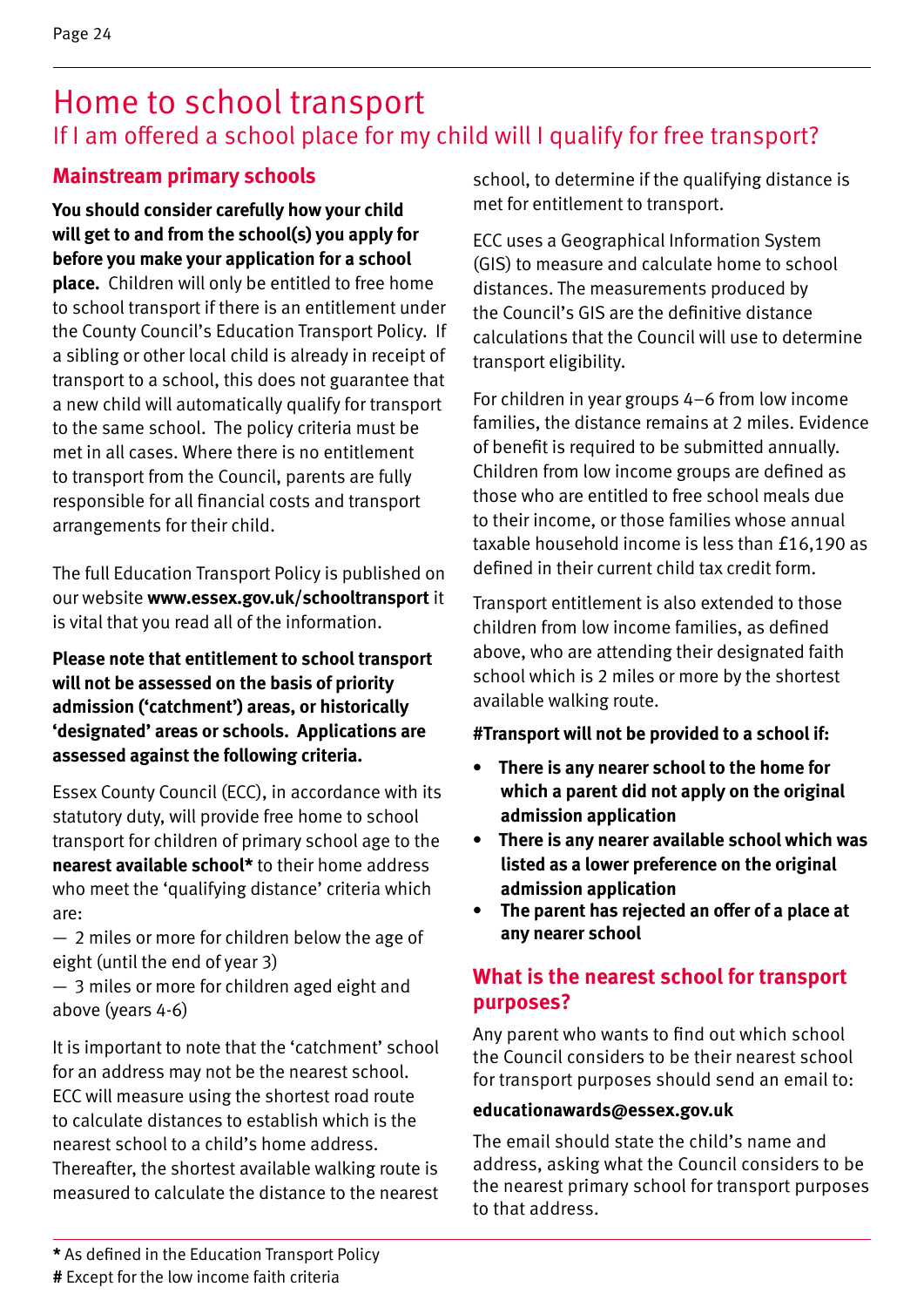### Home to school transport If I am offered a school place for my child will I qualify for free transport?

#### **Mainstream primary schools**

**You should consider carefully how your child will get to and from the school(s) you apply for before you make your application for a school place.** Children will only be entitled to free home to school transport if there is an entitlement under the County Council's Education Transport Policy. If a sibling or other local child is already in receipt of transport to a school, this does not guarantee that a new child will automatically qualify for transport to the same school. The policy criteria must be met in all cases. Where there is no entitlement to transport from the Council, parents are fully responsible for all financial costs and transport arrangements for their child.

The full Education Transport Policy is published on our website **www.essex.gov.uk/schooltransport** it is vital that you read all of the information.

**Please note that entitlement to school transport will not be assessed on the basis of priority admission ('catchment') areas, or historically 'designated' areas or schools. Applications are assessed against the following criteria.**

Essex County Council (ECC), in accordance with its statutory duty, will provide free home to school transport for children of primary school age to the **nearest available school\*** to their home address who meet the 'qualifying distance' criteria which are:

— 2 miles or more for children below the age of eight (until the end of year 3)

— 3 miles or more for children aged eight and above (years 4-6)

It is important to note that the 'catchment' school for an address may not be the nearest school. ECC will measure using the shortest road route to calculate distances to establish which is the nearest school to a child's home address. Thereafter, the shortest available walking route is measured to calculate the distance to the nearest

school, to determine if the qualifying distance is met for entitlement to transport.

ECC uses a Geographical Information System (GIS) to measure and calculate home to school distances. The measurements produced by the Council's GIS are the definitive distance calculations that the Council will use to determine transport eligibility.

For children in year groups 4–6 from low income families, the distance remains at 2 miles. Evidence of benefit is required to be submitted annually. Children from low income groups are defined as those who are entitled to free school meals due to their income, or those families whose annual taxable household income is less than £16,190 as defined in their current child tax credit form.

Transport entitlement is also extended to those children from low income families, as defined above, who are attending their designated faith school which is 2 miles or more by the shortest available walking route.

#### **#Transport will not be provided to a school if:**

- **There is any nearer school to the home for which a parent did not apply on the original admission application**
- **There is any nearer available school which was listed as a lower preference on the original admission application**
- **• The parent has rejected an offer of a place at any nearer school**

#### **What is the nearest school for transport purposes?**

Any parent who wants to find out which school the Council considers to be their nearest school for transport purposes should send an email to:

#### **educationawards@essex.gov.uk**

The email should state the child's name and address, asking what the Council considers to be the nearest primary school for transport purposes to that address.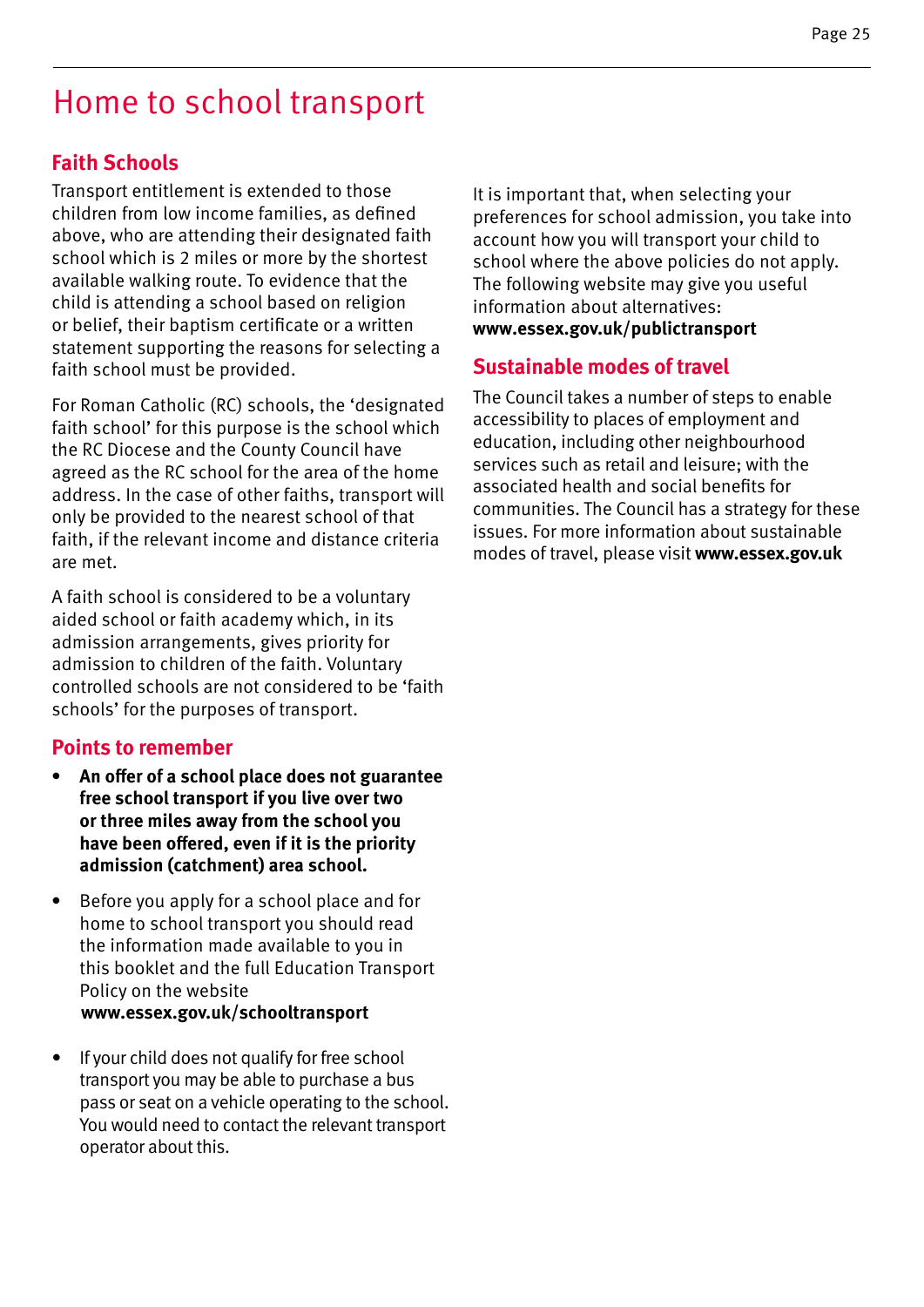### Home to school transport

#### **Faith Schools**

Transport entitlement is extended to those children from low income families, as defined above, who are attending their designated faith school which is 2 miles or more by the shortest available walking route. To evidence that the child is attending a school based on religion or belief, their baptism certificate or a written statement supporting the reasons for selecting a faith school must be provided.

For Roman Catholic (RC) schools, the 'designated faith school' for this purpose is the school which the RC Diocese and the County Council have agreed as the RC school for the area of the home address. In the case of other faiths, transport will only be provided to the nearest school of that faith, if the relevant income and distance criteria are met.

A faith school is considered to be a voluntary aided school or faith academy which, in its admission arrangements, gives priority for admission to children of the faith. Voluntary controlled schools are not considered to be 'faith schools' for the purposes of transport.

#### **Points to remember**

- **• An offer of a school place does not guarantee free school transport if you live over two or three miles away from the school you have been offered, even if it is the priority admission (catchment) area school.**
- **•** Before you apply for a school place and for home to school transport you should read the information made available to you in this booklet and the full Education Transport Policy on the website  **www.essex.gov.uk/schooltransport**
- If your child does not qualify for free school transport you may be able to purchase a bus pass or seat on a vehicle operating to the school. You would need to contact the relevant transport operator about this.

It is important that, when selecting your preferences for school admission, you take into account how you will transport your child to school where the above policies do not apply. The following website may give you useful information about alternatives: **www.essex.gov.uk/publictransport**

#### **Sustainable modes of travel**

The Council takes a number of steps to enable accessibility to places of employment and education, including other neighbourhood services such as retail and leisure; with the associated health and social benefits for communities. The Council has a strategy for these issues. For more information about sustainable modes of travel, please visit **www.essex.gov.uk**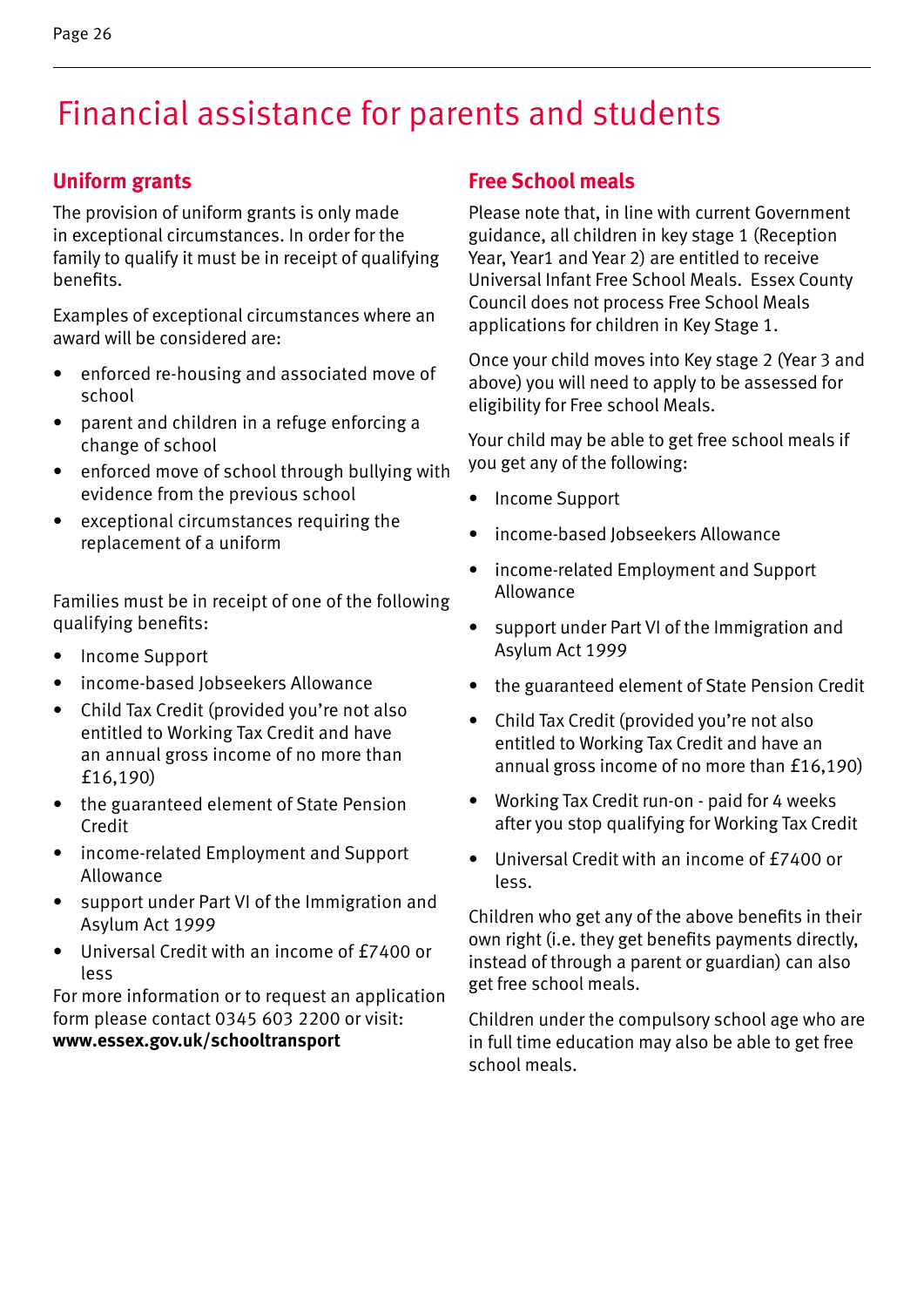# Financial assistance for parents and students

#### **Uniform grants**

The provision of uniform grants is only made in exceptional circumstances. In order for the family to qualify it must be in receipt of qualifying benefits.

Examples of exceptional circumstances where an award will be considered are:

- enforced re-housing and associated move of school
- parent and children in a refuge enforcing a change of school
- enforced move of school through bullying with evidence from the previous school
- exceptional circumstances requiring the replacement of a uniform

Families must be in receipt of one of the following qualifying benefits:

- Income Support
- income-based Jobseekers Allowance
- Child Tax Credit (provided you're not also entitled to Working Tax Credit and have an annual gross income of no more than £16,190)
- the guaranteed element of State Pension Credit
- income-related Employment and Support Allowance
- support under Part VI of the Immigration and Asylum Act 1999
- Universal Credit with an income of £7400 or less

For more information or to request an application form please contact 0345 603 2200 or visit: **www.essex.gov.uk/schooltransport**

#### **Free School meals**

Please note that, in line with current Government guidance, all children in key stage 1 (Reception Year, Year1 and Year 2) are entitled to receive Universal Infant Free School Meals. Essex County Council does not process Free School Meals applications for children in Key Stage 1.

Once your child moves into Key stage 2 (Year 3 and above) you will need to apply to be assessed for eligibility for Free school Meals.

Your child may be able to get free school meals if you get any of the following:

- Income Support
- income-based Jobseekers Allowance
- income-related Employment and Support Allowance
- support under Part VI of the Immigration and Asylum Act 1999
- the guaranteed element of State Pension Credit
- Child Tax Credit (provided you're not also entitled to Working Tax Credit and have an annual gross income of no more than £16,190)
- Working Tax Credit run-on paid for 4 weeks after you stop qualifying for Working Tax Credit
- Universal Credit with an income of £7400 or less.

Children who get any of the above benefits in their own right (i.e. they get benefits payments directly, instead of through a parent or guardian) can also get free school meals.

Children under the compulsory school age who are in full time education may also be able to get free school meals.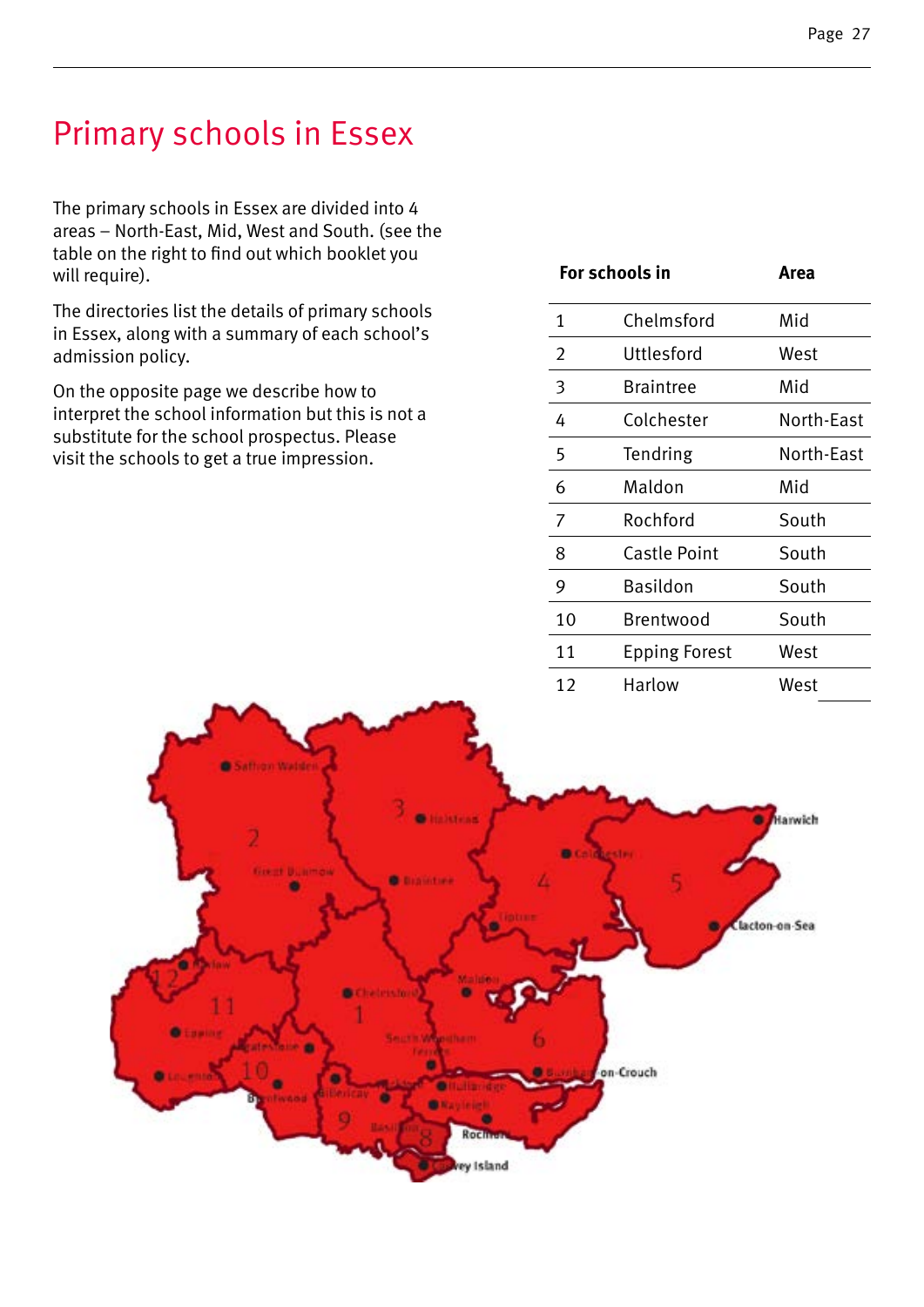### Primary schools in Essex

The primary schools in Essex are divided into 4 areas – North-East, Mid, West and South. (see the table on the right to find out which booklet you will require).

The directories list the details of primary schools in Essex, along with a summary of each school's admission policy.

On the opposite page we describe how to interpret the school information but this is not a substitute for the school prospectus. Please visit the schools to get a true impression.

| For schools in |                      | Area       |
|----------------|----------------------|------------|
| 1              | Chelmsford           | Mid        |
| 2              | Uttlesford           | West       |
| 3              | <b>Braintree</b>     | Mid        |
| 4              | Colchester           | North-East |
| 5              | Tendring             | North-East |
| 6              | Maldon               | Mid        |
| 7              | Rochford             | South      |
| 8              | <b>Castle Point</b>  | South      |
| 9              | Basildon             | South      |
| 10             | Brentwood            | South      |
| 11             | <b>Epping Forest</b> | West       |
| 12             | Harlow               | West       |

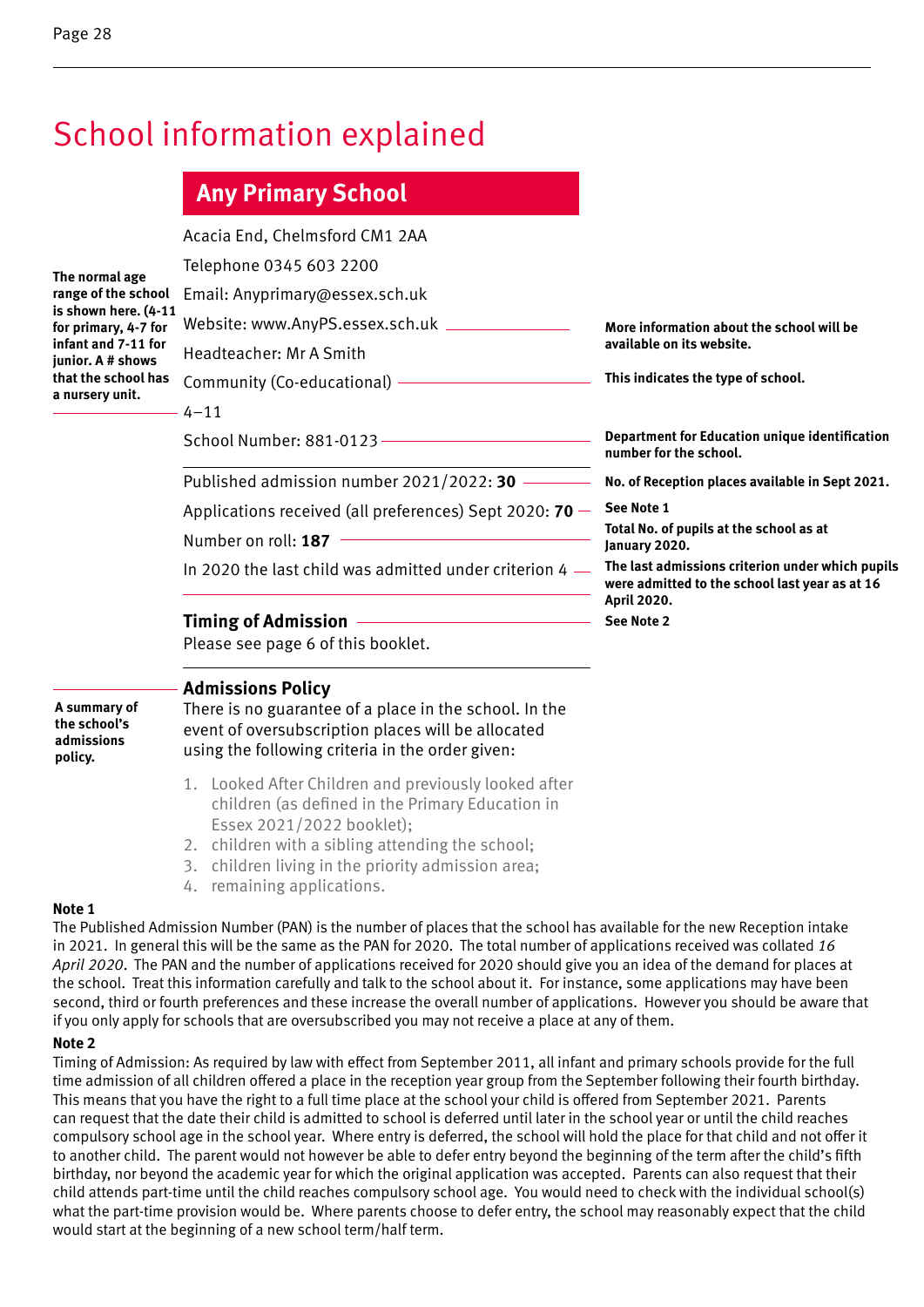### School information explained

### **Any Primary School**

| The normal age       |
|----------------------|
| range of the school  |
| is shown here. (4-11 |
| for primary, 4-7 for |
| infant and 7-11 for  |
| junior. A # shows    |
| that the school has  |
| a nursery unit.      |
|                      |

|     | Acacia End, Chelmsford CM1 2AA                                   |                                                                                                                   |
|-----|------------------------------------------------------------------|-------------------------------------------------------------------------------------------------------------------|
|     | Telephone 0345 603 2200                                          |                                                                                                                   |
|     | Email: Anyprimary@essex.sch.uk                                   |                                                                                                                   |
| ! 1 | Website: www.AnyPS.essex.sch.uk _________________                | More information about the school will be                                                                         |
|     | Headteacher: Mr A Smith                                          | available on its website.                                                                                         |
|     | Community (Co-educational) ——————————                            | This indicates the type of school.                                                                                |
|     | $4 - 11$                                                         |                                                                                                                   |
|     | School Number: 881-0123 - The Contract of Number: 881-0123       | Department for Education unique identification<br>number for the school.                                          |
|     | Published admission number $2021/2022$ : 30 -                    | No. of Reception places available in Sept 2021.                                                                   |
|     | Applications received (all preferences) Sept 2020: <b>70</b> $-$ | See Note 1                                                                                                        |
|     | Number on roll: 187                                              | Total No. of pupils at the school as at<br>January 2020.                                                          |
|     | In 2020 the last child was admitted under criterion 4 $-$        | The last admissions criterion under which pupils<br>were admitted to the school last year as at 16<br>April 2020. |
|     | <b>Timing of Admission</b>                                       | See Note 2                                                                                                        |
|     | Please see page 6 of this booklet.                               |                                                                                                                   |
|     |                                                                  |                                                                                                                   |

#### **Admissions Policy**

**A summary of the school's admissions policy.**

There is no guarantee of a place in the school. In the event of oversubscription places will be allocated using the following criteria in the order given:

- 1. Looked After Children and previously looked after children (as defined in the Primary Education in Essex 2021/2022 booklet);
- 2. children with a sibling attending the school;
- 3. children living in the priority admission area;
- 4. remaining applications.

#### **Note 1**

The Published Admission Number (PAN) is the number of places that the school has available for the new Reception intake in 2021. In general this will be the same as the PAN for 2020. The total number of applications received was collated *16 April 2020*. The PAN and the number of applications received for 2020 should give you an idea of the demand for places at the school. Treat this information carefully and talk to the school about it. For instance, some applications may have been second, third or fourth preferences and these increase the overall number of applications. However you should be aware that if you only apply for schools that are oversubscribed you may not receive a place at any of them.

#### **Note 2**

Timing of Admission: As required by law with effect from September 2011, all infant and primary schools provide for the full time admission of all children offered a place in the reception year group from the September following their fourth birthday. This means that you have the right to a full time place at the school your child is offered from September 2021. Parents can request that the date their child is admitted to school is deferred until later in the school year or until the child reaches compulsory school age in the school year. Where entry is deferred, the school will hold the place for that child and not offer it to another child. The parent would not however be able to defer entry beyond the beginning of the term after the child's fifth birthday, nor beyond the academic year for which the original application was accepted. Parents can also request that their child attends part-time until the child reaches compulsory school age. You would need to check with the individual school(s) what the part-time provision would be. Where parents choose to defer entry, the school may reasonably expect that the child would start at the beginning of a new school term/half term.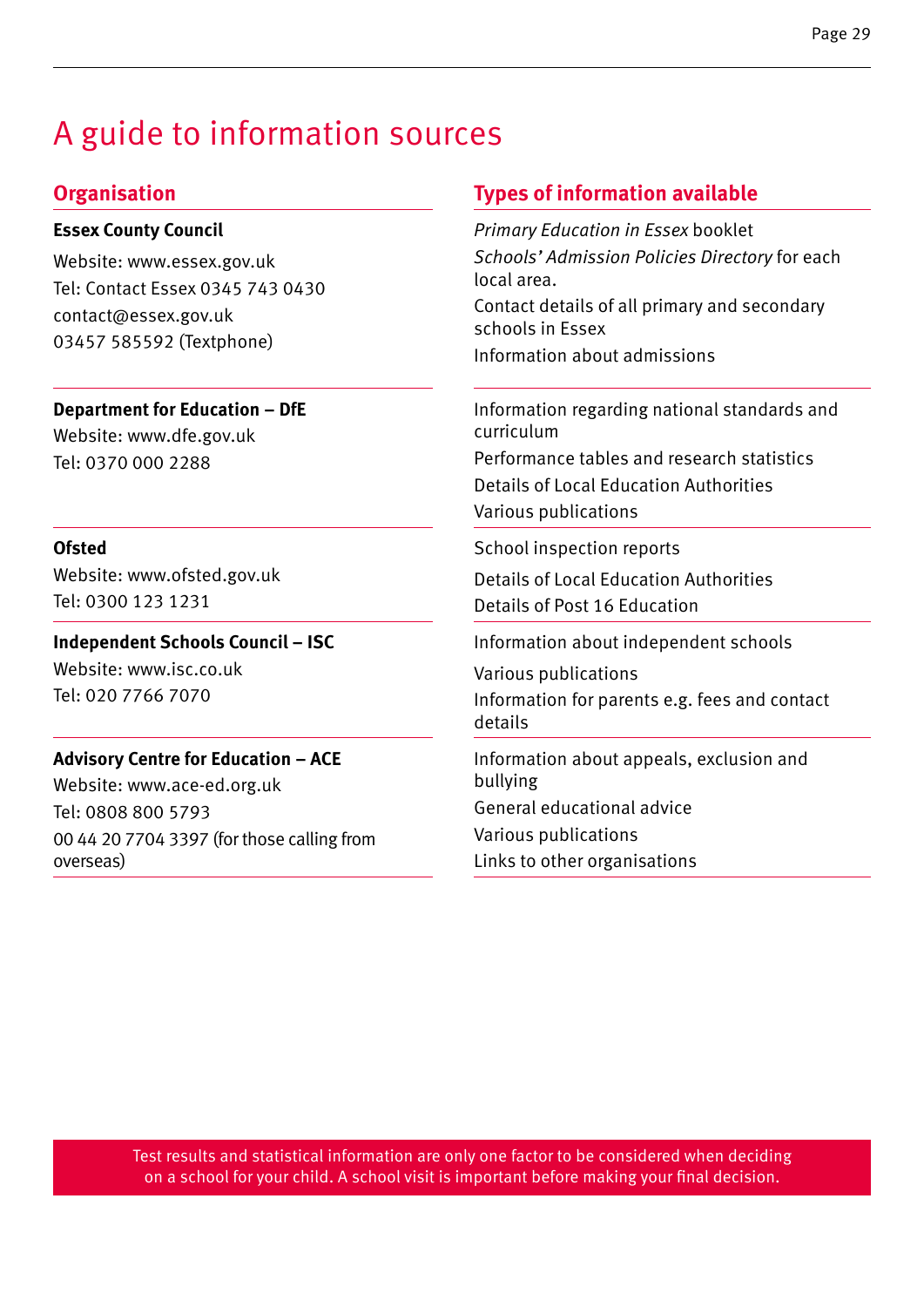### A guide to information sources

#### **Essex County Council**

Website: www.essex.gov.uk Tel: Contact Essex 0345 743 0430 contact@essex.gov.uk 03457 585592 (Textphone)

**Department for Education – DfE**

Website: www.dfe.gov.uk Tel: 0370 000 2288

#### **Ofsted**

Website: www.ofsted.gov.uk Tel: 0300 123 1231

**Independent Schools Council – ISC** Website: www.isc.co.uk Tel: 020 7766 7070

#### **Advisory Centre for Education – ACE**

Website: www.ace-ed.org.uk Tel: 0808 800 5793 00 44 20 7704 3397 (for those calling from overseas)

#### **Organisation Types of information available**

*Primary Education in Essex* booklet *Schools' Admission Policies Directory* for each local area. Contact details of all primary and secondary

schools in Essex Information about admissions

Information regarding national standards and curriculum Performance tables and research statistics

Details of Local Education Authorities Various publications

School inspection reports

Details of Local Education Authorities Details of Post 16 Education

Information about independent schools

Various publications Information for parents e.g. fees and contact details

Information about appeals, exclusion and bullying General educational advice Various publications Links to other organisations

Test results and statistical information are only one factor to be considered when deciding on a school for your child. A school visit is important before making your final decision.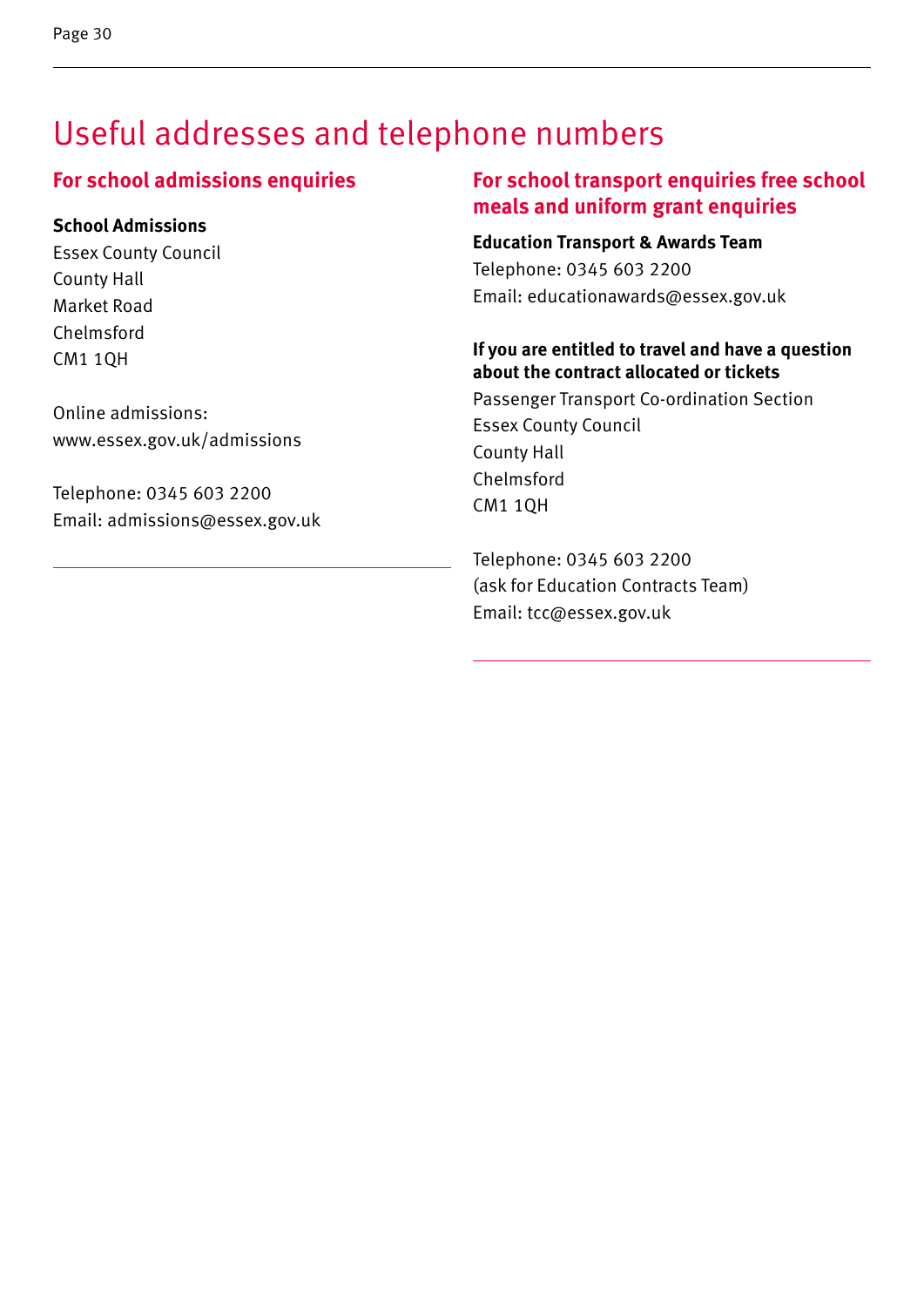### Useful addresses and telephone numbers

#### **For school admissions enquiries**

#### **School Admissions**

Essex County Council County Hall Market Road Chelmsford CM1 1QH

1

Online admissions: www.essex.gov.uk/admissions

Telephone: 0345 603 2200 Email: admissions@essex.gov.uk

#### **For school transport enquiries free school meals and uniform grant enquiries**

**Education Transport & Awards Team** Telephone: 0345 603 2200 Email: educationawards@essex.gov.uk

#### **If you are entitled to travel and have a question about the contract allocated or tickets**

Passenger Transport Co-ordination Section Essex County Council County Hall Chelmsford CM1 1QH

Telephone: 0345 603 2200 (ask for Education Contracts Team) Email: tcc@essex.gov.uk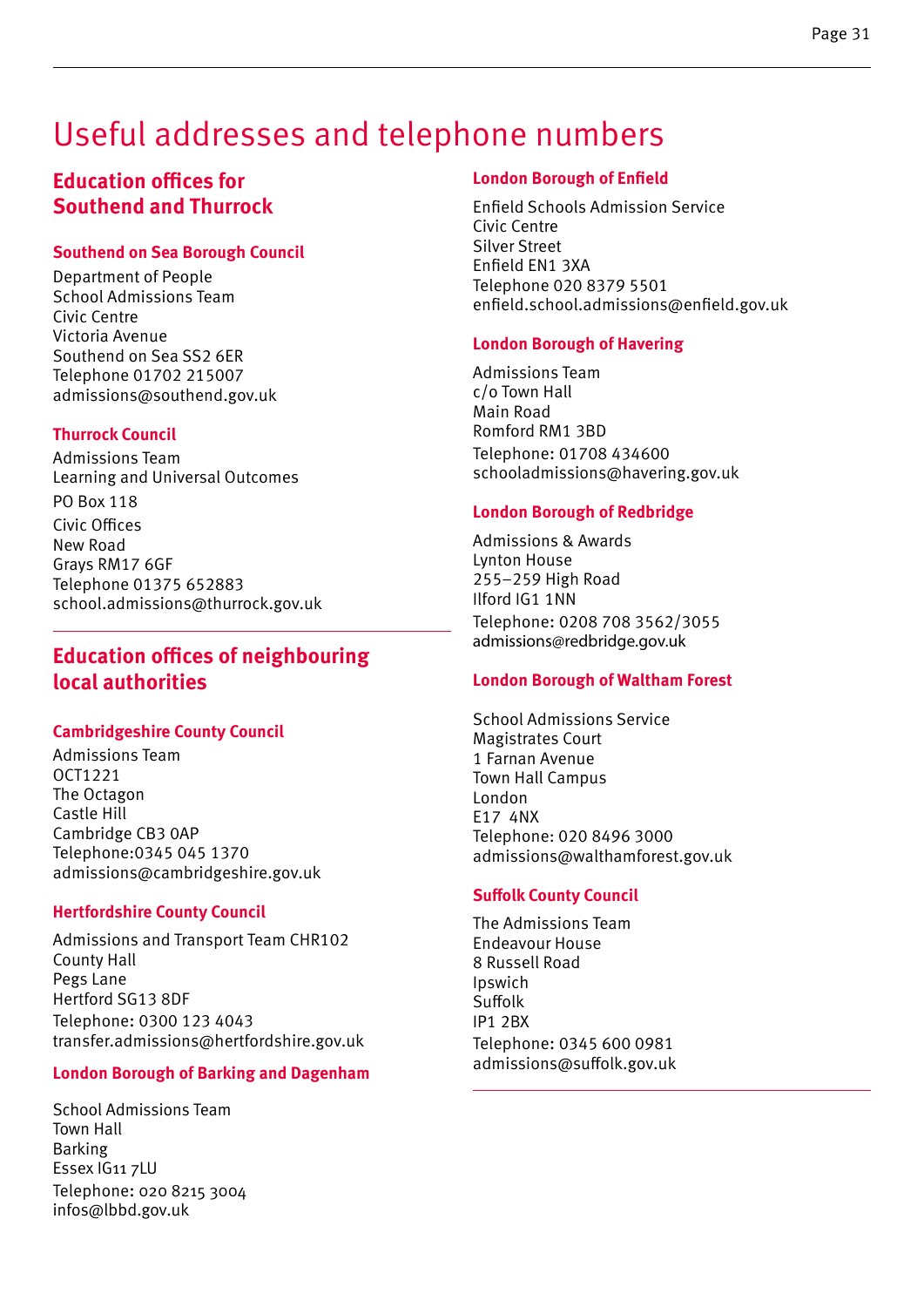### Useful addresses and telephone numbers

#### **Education offices for Southend and Thurrock**

#### **Southend on Sea Borough Council**

Department of People School Admissions Team Civic Centre Victoria Avenue Southend on Sea SS2 6ER Telephone 01702 215007 admissions@southend.gov.uk

#### **Thurrock Council**

Admissions Team Learning and Universal Outcomes PO Box 118 Civic Offices New Road Grays RM17 6GF Telephone 01375 652883 school.admissions@thurrock.gov.uk

#### **Education offices of neighbouring local authorities**

#### **Cambridgeshire County Council**

Admissions Team OCT1221 The Octagon Castle Hill Cambridge CB3 0AP Telephone:0345 045 1370 admissions@cambridgeshire.gov.uk

#### **Hertfordshire County Council**

Admissions and Transport Team CHR102 County Hall Pegs Lane Hertford SG13 8DF Telephone: 0300 123 4043 transfer.admissions@hertfordshire.gov.uk

#### **London Borough of Barking and Dagenham**

School Admissions Team Town Hall Barking Essex IG11 7LU Telephone: 020 8215 3004 infos@lbbd.gov.uk

#### **London Borough of Enfield**

Enfield Schools Admission Service Civic Centre Silver Street Enfield EN1 3XA Telephone 020 8379 5501 enfield.school.admissions@enfield.gov.uk

#### **London Borough of Havering**

Admissions Team c/o Town Hall Main Road Romford RM1 3BD Telephone: 01708 434600 schooladmissions@havering.gov.uk

#### **London Borough of Redbridge**

Admissions & Awards Lynton House 255–259 High Road Ilford IG1 1NN Telephone: 0208 708 3562/3055 admissions@redbridge.gov.uk

#### **London Borough of Waltham Forest**

School Admissions Service Magistrates Court 1 Farnan Avenue Town Hall Campus London E17 4NX Telephone: 020 8496 3000 admissions@walthamforest.gov.uk

#### **Suffolk County Council**

The Admissions Team Endeavour House 8 Russell Road Ipswich Suffolk IP1 2BX Telephone: 0345 600 0981 admissions@suffolk.gov.uk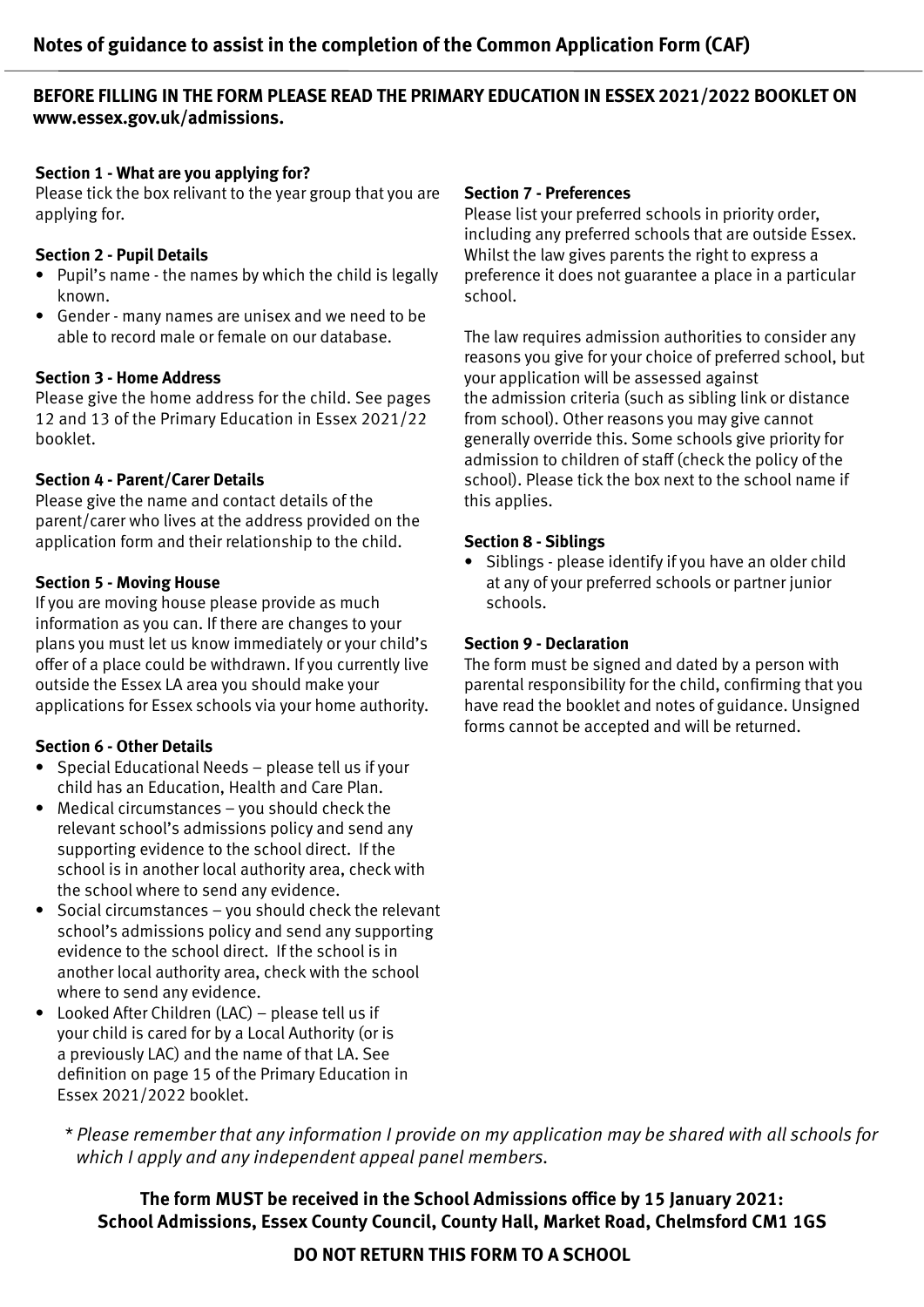#### **BEFORE FILLING IN THE FORM PLEASE READ THE PRIMARY EDUCATION IN ESSEX 2021/2022 BOOKLET ON www.essex.gov.uk/admissions.**

#### **Section 1 - What are you applying for?**

Please tick the box relivant to the year group that you are applying for.

#### **Section 2 - Pupil Details**

- Pupil's name the names by which the child is legally known.
- Gender many names are unisex and we need to be able to record male or female on our database.

#### **Section 3 - Home Address**

Please give the home address for the child. See pages 12 and 13 of the Primary Education in Essex 2021/22 booklet.

#### **Section 4 - Parent/Carer Details**

Please give the name and contact details of the parent/carer who lives at the address provided on the application form and their relationship to the child.

#### **Section 5 - Moving House**

If you are moving house please provide as much information as you can. If there are changes to your plans you must let us know immediately or your child's offer of a place could be withdrawn. If you currently live outside the Essex LA area you should make your applications for Essex schools via your home authority.

#### **Section 6 - Other Details**

- Special Educational Needs please tell us if your child has an Education, Health and Care Plan.
- Medical circumstances you should check the relevant school's admissions policy and send any supporting evidence to the school direct. If the school is in another local authority area, check with the school where to send any evidence.
- Social circumstances you should check the relevant school's admissions policy and send any supporting evidence to the school direct. If the school is in another local authority area, check with the school where to send any evidence.
- Looked After Children (LAC) please tell us if your child is cared for by a Local Authority (or is a previously LAC) and the name of that LA. See definition on page 15 of the Primary Education in Essex 2021/2022 booklet.

#### **Section 7 - Preferences**

Please list your preferred schools in priority order, including any preferred schools that are outside Essex. Whilst the law gives parents the right to express a preference it does not guarantee a place in a particular school.

The law requires admission authorities to consider any reasons you give for your choice of preferred school, but your application will be assessed against the admission criteria (such as sibling link or distance from school). Other reasons you may give cannot generally override this. Some schools give priority for admission to children of staff (check the policy of the school). Please tick the box next to the school name if this applies.

#### **Section 8 - Siblings**

• Siblings - please identify if you have an older child at any of your preferred schools or partner junior schools.

#### **Section 9 - Declaration**

The form must be signed and dated by a person with parental responsibility for the child, confirming that you have read the booklet and notes of guidance. Unsigned forms cannot be accepted and will be returned.

*\* Please remember that any information I provide on my application may be shared with all schools for which I apply and any independent appeal panel members.*

**The form MUST be received in the School Admissions office by 15 January 2021: School Admissions, Essex County Council, County Hall, Market Road, Chelmsford CM1 1GS**

#### **DO NOT RETURN THIS FORM TO A SCHOOL**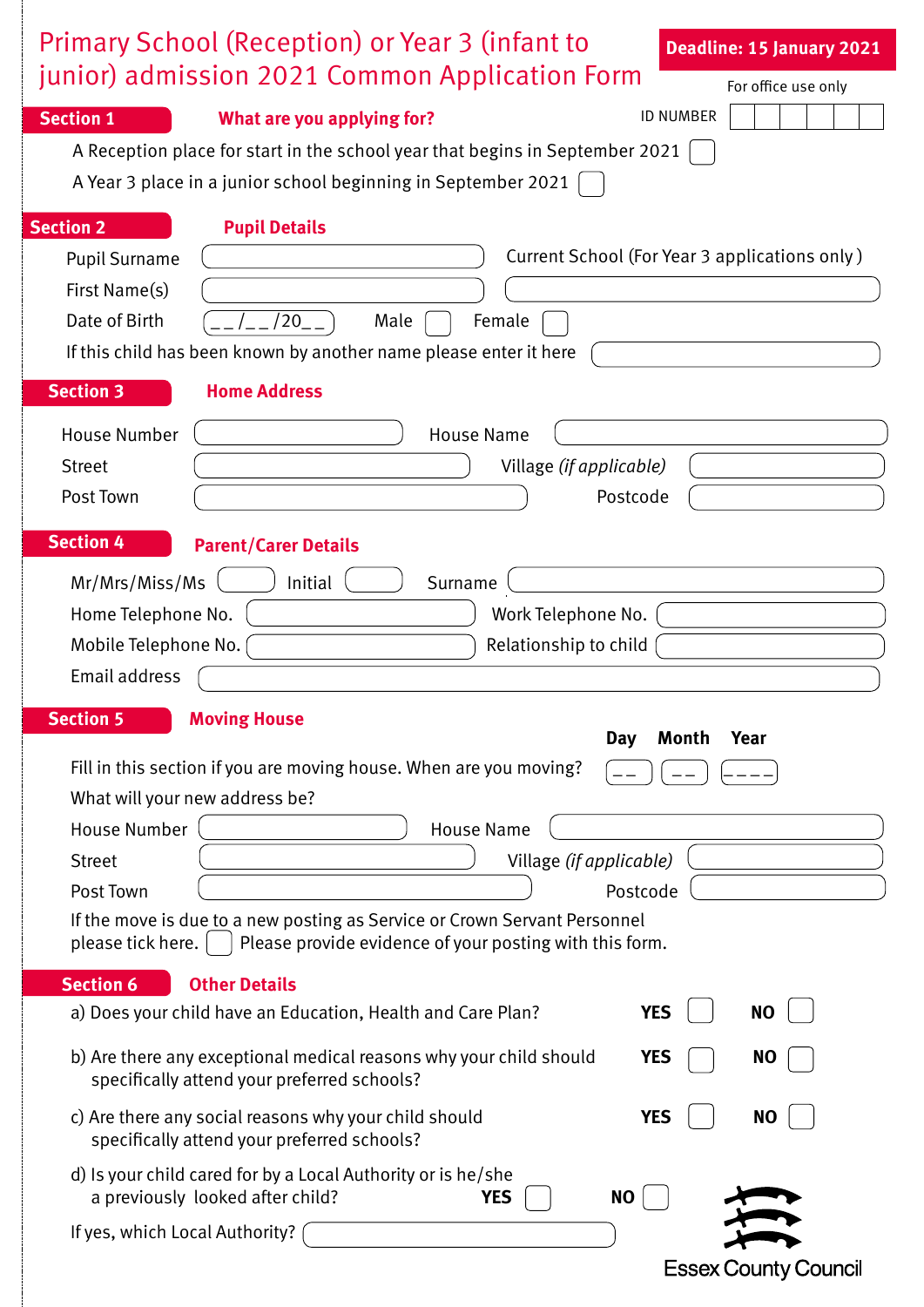| Primary School (Reception) or Year 3 (infant to<br><b>Deadline: 15 January 2021</b>                                                          |
|----------------------------------------------------------------------------------------------------------------------------------------------|
| junior) admission 2021 Common Application Form<br>For office use only                                                                        |
| <b>ID NUMBER</b><br><b>Section 1</b><br>What are you applying for?                                                                           |
| A Reception place for start in the school year that begins in September 2021                                                                 |
| A Year 3 place in a junior school beginning in September 2021                                                                                |
| <b>Section 2</b><br><b>Pupil Details</b>                                                                                                     |
| Current School (For Year 3 applications only)<br><b>Pupil Surname</b>                                                                        |
| First Name(s)                                                                                                                                |
| Date of Birth<br>$/20$ _ .<br>Male<br>Female                                                                                                 |
| If this child has been known by another name please enter it here                                                                            |
| <b>Section 3</b><br><b>Home Address</b>                                                                                                      |
| <b>House Number</b><br><b>House Name</b>                                                                                                     |
| Village (if applicable)<br><b>Street</b>                                                                                                     |
| Post Town<br>Postcode                                                                                                                        |
| <b>Section 4</b><br><b>Parent/Carer Details</b>                                                                                              |
| Mr/Mrs/Miss/Ms<br>Initial<br>Surname                                                                                                         |
| Home Telephone No.<br>Work Telephone No.                                                                                                     |
| Relationship to child<br>Mobile Telephone No.                                                                                                |
| Email address                                                                                                                                |
| <b>Section 5</b><br><b>Moving House</b>                                                                                                      |
| Day<br>Month<br>Year                                                                                                                         |
| Fill in this section if you are moving house. When are you moving?                                                                           |
| What will your new address be?<br><b>House Number</b><br><b>House Name</b>                                                                   |
| Village (if applicable)<br><b>Street</b>                                                                                                     |
| Post Town<br>Postcode                                                                                                                        |
| If the move is due to a new posting as Service or Crown Servant Personnel                                                                    |
| Please provide evidence of your posting with this form.<br>please tick here.                                                                 |
| <b>Section 6</b><br><b>Other Details</b>                                                                                                     |
| <b>YES</b><br><b>NO</b><br>a) Does your child have an Education, Health and Care Plan?                                                       |
| b) Are there any exceptional medical reasons why your child should<br><b>YES</b><br><b>NO</b><br>specifically attend your preferred schools? |
| c) Are there any social reasons why your child should<br><b>YES</b><br><b>NO</b><br>specifically attend your preferred schools?              |
| d) Is your child cared for by a Local Authority or is he/she<br>a previously looked after child?<br><b>NO</b><br><b>YES</b>                  |
| If yes, which Local Authority?                                                                                                               |
| <b>Essex County Council</b>                                                                                                                  |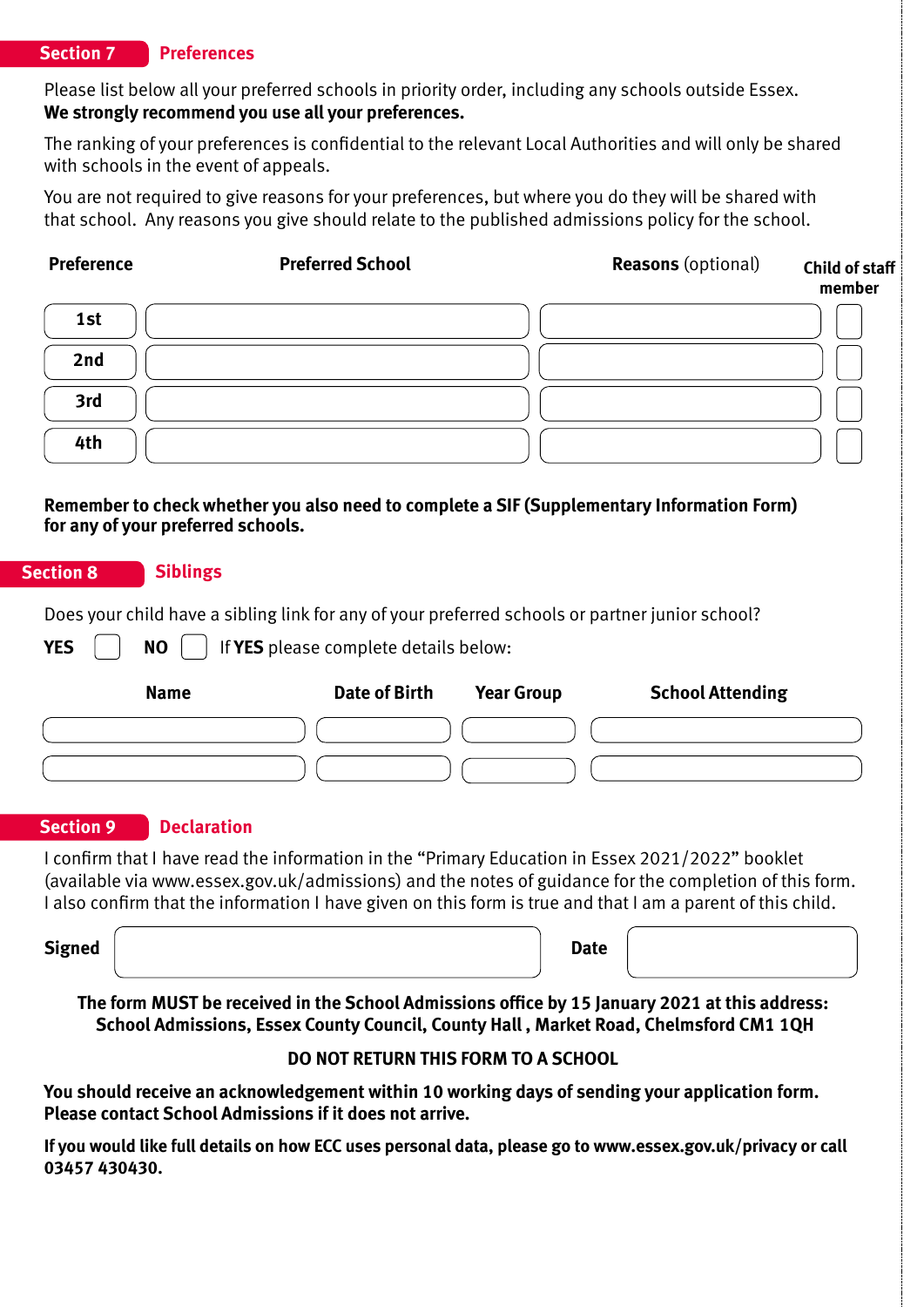#### **Section 7 Preferences**

Please list below all your preferred schools in priority order, including any schools outside Essex. **We strongly recommend you use all your preferences.**

The ranking of your preferences is confidential to the relevant Local Authorities and will only be shared with schools in the event of appeals.

You are not required to give reasons for your preferences, but where you do they will be shared with that school. Any reasons you give should relate to the published admissions policy for the school.

| <b>Preference</b>                                              | <b>Preferred School</b>                                                                                                                                                                                                                                                                                                   | <b>Reasons</b> (optional)                    | <b>Child of staff</b><br>member |
|----------------------------------------------------------------|---------------------------------------------------------------------------------------------------------------------------------------------------------------------------------------------------------------------------------------------------------------------------------------------------------------------------|----------------------------------------------|---------------------------------|
| 1st                                                            |                                                                                                                                                                                                                                                                                                                           |                                              |                                 |
| 2nd                                                            |                                                                                                                                                                                                                                                                                                                           |                                              |                                 |
| 3rd                                                            |                                                                                                                                                                                                                                                                                                                           |                                              |                                 |
| 4th                                                            |                                                                                                                                                                                                                                                                                                                           |                                              |                                 |
| <b>Section 8</b><br><b>Siblings</b><br><b>YES</b><br><b>NO</b> | Does your child have a sibling link for any of your preferred schools or partner junior school?<br>If YES please complete details below:                                                                                                                                                                                  |                                              |                                 |
| <b>Name</b>                                                    | <b>Date of Birth</b>                                                                                                                                                                                                                                                                                                      | <b>Year Group</b><br><b>School Attending</b> |                                 |
|                                                                |                                                                                                                                                                                                                                                                                                                           |                                              |                                 |
|                                                                |                                                                                                                                                                                                                                                                                                                           |                                              |                                 |
|                                                                |                                                                                                                                                                                                                                                                                                                           |                                              |                                 |
| <b>Section 9</b>                                               | <b>Declaration</b>                                                                                                                                                                                                                                                                                                        |                                              |                                 |
|                                                                | I confirm that I have read the information in the "Primary Education in Essex 2021/2022" booklet<br>(available via www.essex.gov.uk/admissions) and the notes of guidance for the completion of this form.<br>I also confirm that the information I have given on this form is true and that I am a parent of this child. |                                              |                                 |

**You should receive an acknowledgement within 10 working days of sending your application form. Please contact School Admissions if it does not arrive.**

**If you would like full details on how ECC uses personal data, please go to www.essex.gov.uk/privacy or call 03457 430430.**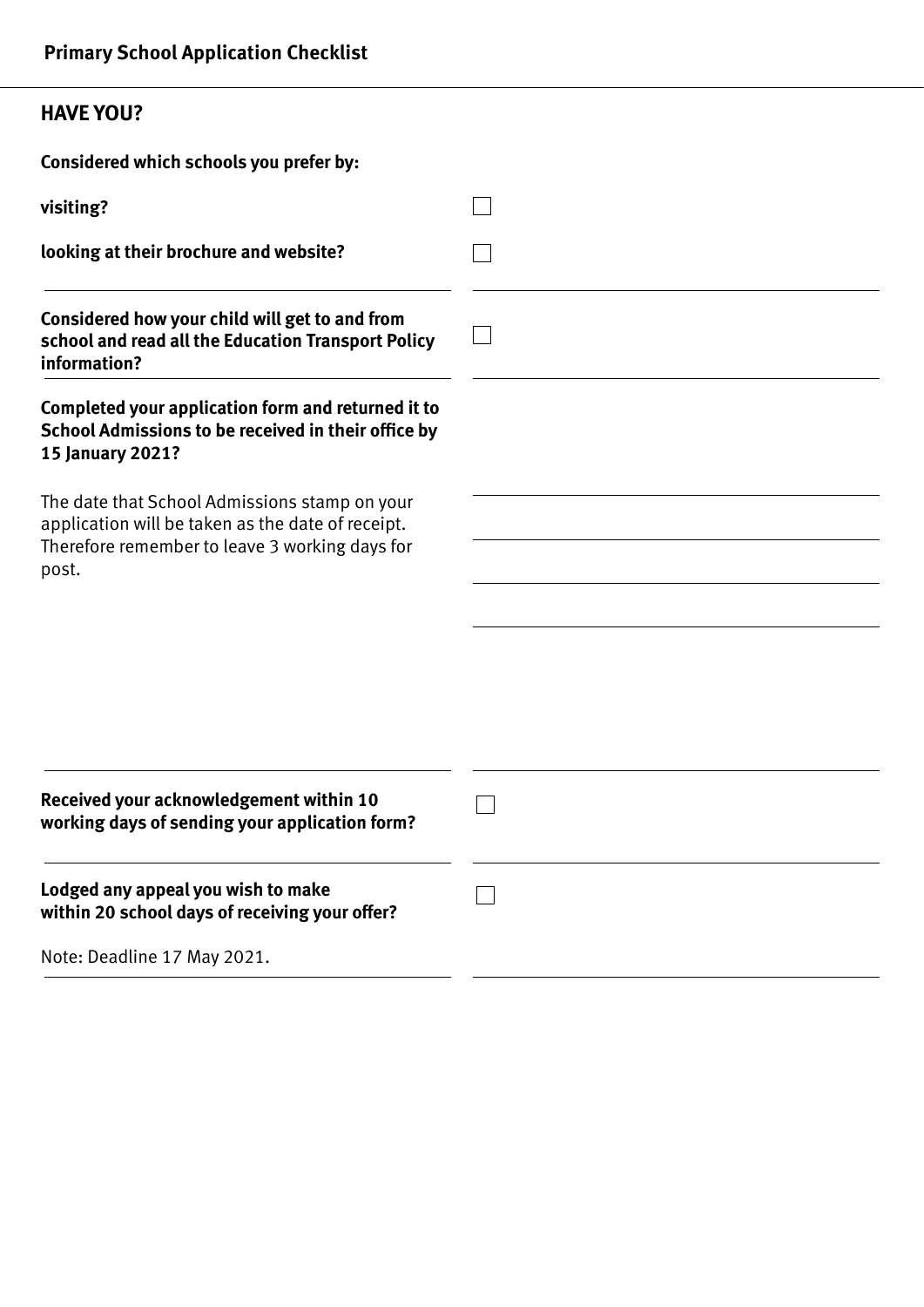#### **HAVE YOU?**

**Considered which schools you prefer by:**

| visiting?                                                                                                                                                     |  |
|---------------------------------------------------------------------------------------------------------------------------------------------------------------|--|
| looking at their brochure and website?                                                                                                                        |  |
| Considered how your child will get to and from<br>school and read all the Education Transport Policy<br>information?                                          |  |
| Completed your application form and returned it to<br>School Admissions to be received in their office by<br>15 January 2021?                                 |  |
| The date that School Admissions stamp on your<br>application will be taken as the date of receipt.<br>Therefore remember to leave 3 working days for<br>post. |  |
|                                                                                                                                                               |  |
|                                                                                                                                                               |  |
| Received your acknowledgement within 10<br>working days of sending your application form?                                                                     |  |
| Lodged any appeal you wish to make<br>within 20 school days of receiving your offer?                                                                          |  |
| Note: Deadline 17 May 2021.                                                                                                                                   |  |